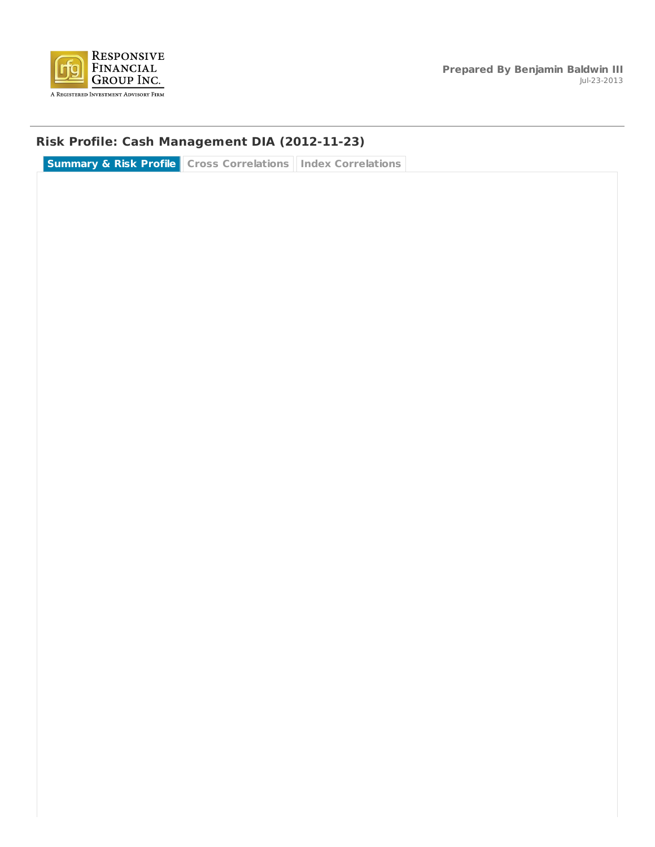

## **Risk Profile: Cash Management DIA (2012-11-23)**

**Summary & Risk Profile Cross Correlations Index Correlations**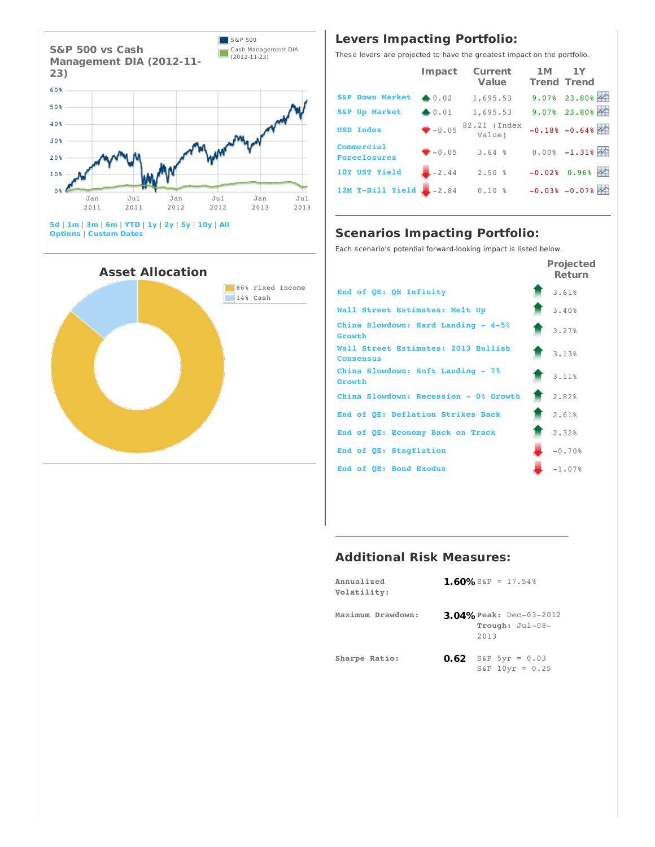

**5d** | **1m** | **3m** | **6m** | **YTD** | **1y** | **2y** | **5y** | **10y** | **All Options** | **Custom Dates**



## **Levers Impacting Portfolio:**

These levers are projected to have the greatest impact on the portfolio.

|                                   | Impact           | <b>Current</b><br>Value            | 1M<br><b>Trend Trend</b> | 1Y                            |
|-----------------------------------|------------------|------------------------------------|--------------------------|-------------------------------|
| <b>S&amp;P Down Market</b>        | $\triangle 0.02$ | 1,695.53                           |                          | $9.07$ $23.80$ $\rightarrow$  |
| <b>S&amp;P Up Market</b>          | $+0.01$          | 1,695.53                           |                          | $9.07$ $23.80$ $\sim$         |
| <b>USD Index</b>                  |                  | $\sqrt{-0.05}$ 82.21 (Index Value) |                          | $-0.18$ $-0.64$ $\sim$        |
| Commercial<br><b>Foreclosures</b> | $-0.05$          | 3.64%                              |                          | $0.008 - 1.318$               |
| 10Y UST Yield                     | $-2.44$          | 2.50%                              |                          | $-0.02$ $+0.96$ $\sim$        |
| 12M T-Bill Yield $-2.84$          |                  | 0.10%                              |                          | $-0.03$ $-0.07$ $\rightarrow$ |

## **Scenarios Impacting Portfolio:**

Each scenario's potential forward-looking impact is listed below.

|                                                         | <b>Projected</b><br><b>Return</b> |
|---------------------------------------------------------|-----------------------------------|
| End of OE: OE Infinity                                  | 3.61%                             |
| Wall Street Estimates: Melt Up                          | 3.40%                             |
| China Slowdown: Hard Landing - 4-5%<br>Growth           | 3.27%                             |
| Wall Street Estimates: 2013 Bullish<br><b>Consensus</b> | 3.13%                             |
| China Slowdown: Soft Landing - 7%<br>Growth             | 3.11%                             |
| China Slowdown: Recession - 0% Growth                   | 2.82%                             |
| End of OE: Deflation Strikes Back                       | 2.61%                             |
| End of QE: Economy Back on Track                        | 2.32%                             |
| End of QE: Stagflation                                  | $-0.70%$                          |
| End of OE: Bond Exodus                                  | $-1.07%$                          |

### **Additional Risk Measures:**

| Annualized<br>Volatility: | 1.60% S&P = 17.54%                                        |
|---------------------------|-----------------------------------------------------------|
| Maximum Drawdown:         | <b>3.04% Peak: Dec-03-2012</b><br>Trough: Jul-08-<br>2013 |
| Sharpe Ratio:             | $0.62$ S&P 5yr = 0.03<br>$S\&P$ 10yr = 0.25               |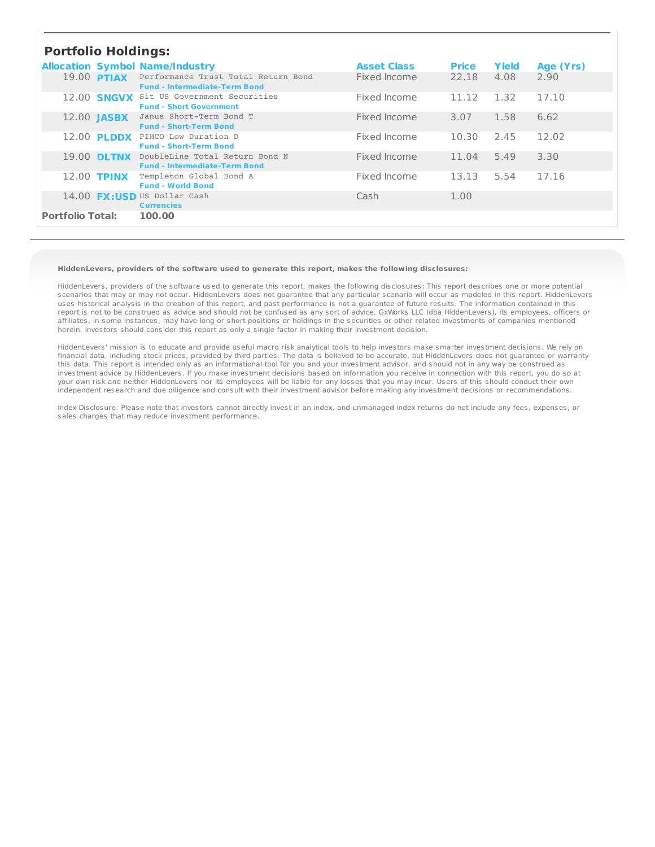### **Portfolio Holdings:**

|                         | r vrtrvno norumys. |                                                                                   |                    |              |       |           |  |  |  |
|-------------------------|--------------------|-----------------------------------------------------------------------------------|--------------------|--------------|-------|-----------|--|--|--|
|                         |                    | <b>Allocation Symbol Name/Industry</b>                                            | <b>Asset Class</b> | <b>Price</b> | Yield | Age (Yrs) |  |  |  |
| 19.00 <b>PTIAX</b>      |                    | Performance Trust Total Return Bond<br><b>Fund - Intermediate-Term Bond</b>       | Fixed Income       | 22.18        | 4.08  | 2.90      |  |  |  |
|                         |                    | 12.00 <b>SNGVX</b> Sit US Government Securities<br><b>Fund - Short Government</b> | Fixed Income       | 11.12        | 1.32  | 17.10     |  |  |  |
| 12.00 <b>JASBX</b>      |                    | Janus Short-Term Bond T<br><b>Fund - Short-Term Bond</b>                          | Fixed Income       | 3.07         | 1.58  | 6.62      |  |  |  |
|                         | 12.00 <b>PLDDX</b> | PIMCO Low Duration D<br><b>Fund - Short-Term Bond</b>                             | Fixed Income       | 10.30        | 2.45  | 12.02     |  |  |  |
|                         | 19.00 DLTNX        | DoubleLine Total Return Bond N<br><b>Fund - Intermediate-Term Bond</b>            | Fixed Income       | 11.04        | 5.49  | 3.30      |  |  |  |
| 12.00 <b>TPINX</b>      |                    | Templeton Global Bond A<br><b>Fund - World Bond</b>                               | Fixed Income       | 13.13        | 5.54  | 17.16     |  |  |  |
|                         |                    | 14.00 <b>FX:USD</b> US Dollar Cash<br><b>Currencies</b>                           | Cash               | 1.00         |       |           |  |  |  |
| <b>Portfolio Total:</b> |                    | 100.00                                                                            |                    |              |       |           |  |  |  |

#### **HiddenLevers, providers of the software used to generate this report, makes the following disclosures:**

HiddenLevers, providers of the software used to generate this report, makes the following disclosures: This report describes one or more potential scenarios that may or may not occur. HiddenLevers does not guarantee that any particular scenario will occur as modeled in this report. HiddenLevers uses historical analysis in the creation of this report, and past performance is not a guarantee of future results. The information contained in this report is not to be construed as advice and should not be confused as any sort of advice. GxWorks LLC (dba HiddenLevers), its employees, officers or affiliates, in some instances, may have long or short positions or holdings in the securities or other related investments of companies mentioned herein. Investors should consider this report as only a single factor in making their investment decision.

HiddenLevers' mission is to educate and provide useful macro risk analytical tools to help investors make smarter investment decisions. We rely on financial data, including stock prices, provided by third parties. The data is believed to be accurate, but HiddenLevers does not guarantee or warranty this data. This report is intended only as an informational tool for you and your investment advisor, and should not in any way be construed as investment advice by HiddenLevers. If you make investment decisions based on information you receive in connection with this report, you do so at your own risk and neither HiddenLevers nor its employees will be liable for any losses that you may incur. Users of this should conduct their own independent research and due diligence and consult with their investment advisor before making any investment decisions or recommendations.

Index Disclosure: Please note that investors cannot directly invest in an index, and unmanaged index returns do not include any fees, expenses, or sales charges that may reduce investment performance.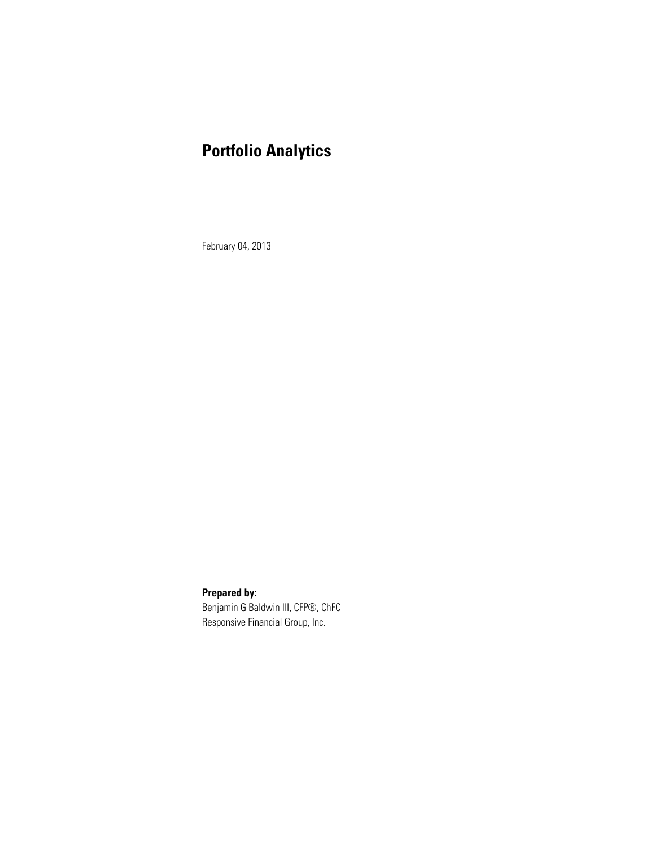# **Portfolio Analytics**

February 04, 2013

**Prepared by:**

Benjamin G Baldwin III, CFP®, ChFC Responsive Financial Group, Inc.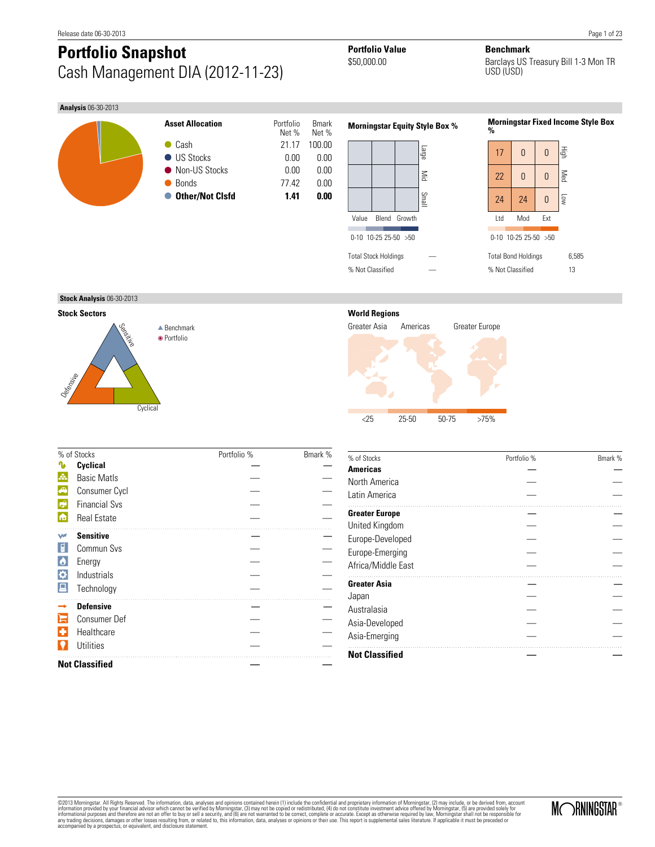# **Portfolio Snapshot Portfolio Value Benchmark**<br>  $$50,000.00$  Barclays US Cash Management DIA (2012-11-23)

Barclays US Treasury Bill 1-3 Mon TR USD (USD)

#### **Analysis** 06-30-2013





| 17                         | 0                | 0   | 貢   |
|----------------------------|------------------|-----|-----|
| 22                         | 0                | 0   | Med |
| 24                         | 24               | 0   | Low |
| ht I                       | Mod              | Fxt |     |
|                            | 0-10 10-25 25-50 | >50 |     |
| <b>Total Bond Holdings</b> | 6,585            |     |     |
| % Not Classified           |                  |     | 13  |
|                            |                  |     |     |

**Stock Analysis** 06-30-2013

**Stock Sectors**



### **World Regions**



|                    | % of Stocks           | Portfolio % | Bmark % |
|--------------------|-----------------------|-------------|---------|
|                    | Cyclical              |             |         |
| A.                 | <b>Basic Matls</b>    |             |         |
| G                  | Consumer Cycl         |             |         |
| $\mathbb{R}^2$     | <b>Financial Sys</b>  |             |         |
| i film             | <b>Real Estate</b>    |             |         |
| w                  | <b>Sensitive</b>      |             |         |
|                    | Commun Svs            |             |         |
| $\bullet$          | Energy                |             |         |
| $\hat{\mathbf{v}}$ | Industrials           |             |         |
|                    | Technology            |             |         |
|                    | <b>Defensive</b>      |             |         |
|                    | <b>Consumer Def</b>   |             |         |
| $\mathbf{\hat{c}}$ | Healthcare            |             |         |
|                    | <b>Utilities</b>      |             |         |
|                    | <b>Not Classified</b> |             |         |

| % of Stocks           | Portfolio % | Bmark % |
|-----------------------|-------------|---------|
| <b>Americas</b>       |             |         |
| North America         |             |         |
| Latin America         |             |         |
| <b>Greater Europe</b> |             |         |
| United Kingdom        |             |         |
| Europe-Developed      |             |         |
| Europe-Emerging       |             |         |
| Africa/Middle East    |             |         |
| <b>Greater Asia</b>   |             |         |
| Japan                 |             |         |
| Australasia           |             |         |
| Asia-Developed        |             |         |
| Asia-Emerging         |             |         |
| <b>Not Classified</b> |             |         |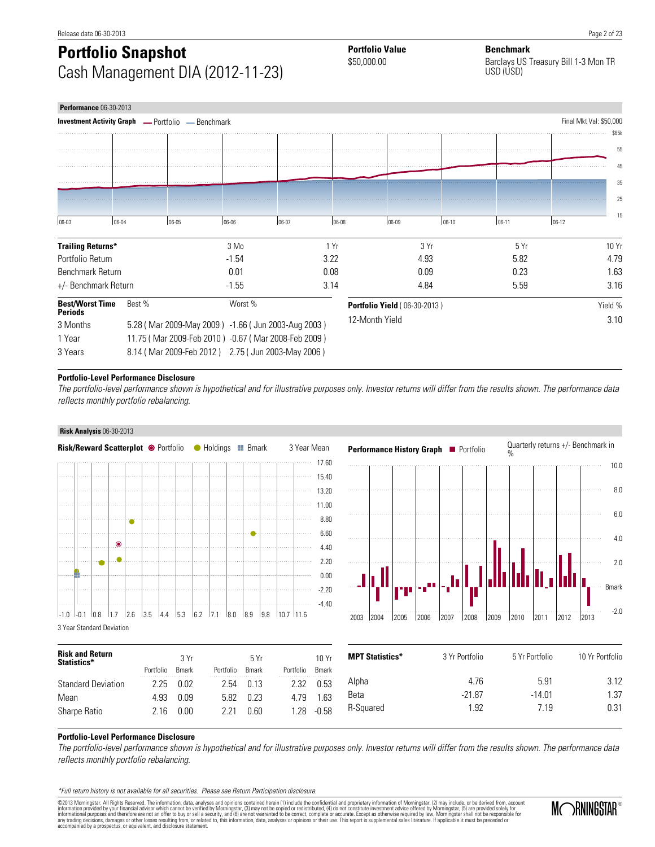# **Portfolio Snapshot Portfolio Value Benchmark**<br> **Benchmark**<br> **Banchware Banchware** Cash Management DIA (2012-11-23)

Barclays US Treasury Bill 1-3 Mon TR USD (USD)

| <b>Performance 06-30-2013</b>                            |        |       |                                                     |          |            |                                     |      |       |       |           |                         |
|----------------------------------------------------------|--------|-------|-----------------------------------------------------|----------|------------|-------------------------------------|------|-------|-------|-----------|-------------------------|
| <b>Investment Activity Graph - Portfolio - Benchmark</b> |        |       |                                                     |          |            |                                     |      |       |       |           | Final Mkt Val: \$50,000 |
|                                                          |        |       |                                                     |          |            |                                     |      |       |       |           | \$65k                   |
|                                                          |        |       |                                                     |          |            |                                     |      |       |       |           | 55                      |
|                                                          |        |       |                                                     |          |            |                                     |      |       |       |           | 45                      |
|                                                          |        |       |                                                     |          |            |                                     |      |       |       |           | 35                      |
|                                                          |        |       |                                                     |          |            |                                     |      |       |       |           | 25                      |
|                                                          |        |       |                                                     |          |            |                                     |      |       |       |           | 15                      |
| 06-03                                                    | 06-04  | 06-05 | 06-06                                               | $ 06-07$ | $106 - 08$ | $ 06-09$                            |      | 06-10 | 06-11 | $ 06-12 $ |                         |
| <b>Trailing Returns*</b>                                 |        |       | 3 Mo                                                |          | 1 Yr       |                                     | 3 Yr |       | 5 Yr  |           | 10Yr                    |
| Portfolio Return                                         |        |       | $-1.54$                                             |          | 3.22       |                                     | 4.93 |       | 5.82  |           | 4.79                    |
| Benchmark Return                                         |        |       | 0.01                                                |          | 0.08       |                                     | 0.09 |       | 0.23  |           | 1.63                    |
| +/- Benchmark Return                                     |        |       | $-1.55$                                             |          | 3.14       |                                     | 4.84 |       | 5.59  |           | 3.16                    |
| <b>Best/Worst Time</b><br><b>Periods</b>                 | Best % |       | Worst %                                             |          |            | <b>Portfolio Yield (06-30-2013)</b> |      |       |       |           | Yield %                 |
| 3 Months                                                 |        |       | 5.28 (Mar 2009-May 2009) -1.66 (Jun 2003-Aug 2003)  |          |            | 12-Month Yield                      |      |       |       |           | 3.10                    |
| 1 Year                                                   |        |       | 11.75 (Mar 2009-Feb 2010) -0.67 (Mar 2008-Feb 2009) |          |            |                                     |      |       |       |           |                         |
| 3 Years                                                  |        |       | 8.14 (Mar 2009-Feb 2012) 2.75 (Jun 2003-May 2006)   |          |            |                                     |      |       |       |           |                         |

#### **Portfolio-Level Performance Disclosure**

The portfolio-level performance shown is hypothetical and for illustrative purposes only. Investor returns will differ from the results shown. The performance data reflects monthly portfolio rebalancing.

#### **Risk Analysis** 06-30-2013





| <b>Risk and Return</b><br>Statistics* | Portfolio | 3Yr<br><b>B</b> mark | Portfolio | 5Yr<br><b>B</b> mark | Portfolio | 10 Yr<br>Bmark | <b>MPT Statistics*</b> | 3 Yr Portfolio | 5 Yr Portfolio | 10 Yr Portfolio |
|---------------------------------------|-----------|----------------------|-----------|----------------------|-----------|----------------|------------------------|----------------|----------------|-----------------|
| <b>Standard Deviation</b>             | 2.25      | 0.02                 | 2.54      | 0.13                 | 2.32      | 0.53           | Alpha                  | 4.76           | 5.91           | 3.12            |
| Mean                                  | 4.93      | 0.09                 | 5.82      | 0.23                 | 4.79      | .63            | Beta                   | $-21.87$       | $-14.01$       | .37             |
| Sharpe Ratio                          | 2.16      | 0.00                 | 2.21      | 0.60                 | - 28      | $-0.58$        | R-Sauared              | .92            | 7.19           | 0.31            |

#### **Portfolio-Level Performance Disclosure**

The portfolio-level performance shown is hypothetical and for illustrative purposes only. Investor returns will differ from the results shown. The performance data reflects monthly portfolio rebalancing.

\*Full return history is not available for all securities. Please see Return Participation disclosure.

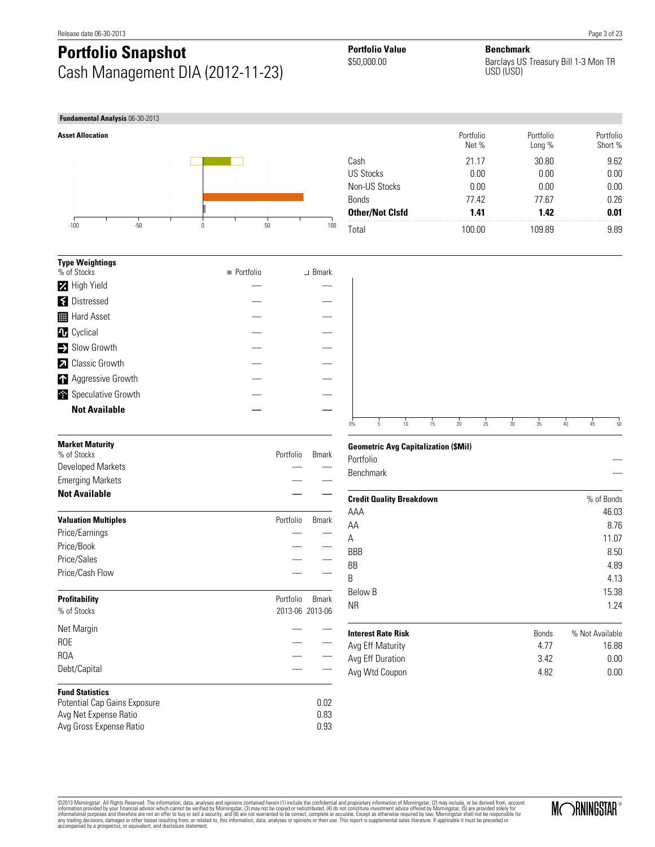# **Portfolio Snapshot Portfolio Value Benchmark**<br>  $$50,000.00$  Barclays US Cash Management DIA (2012-11-23)

Barclays US Treasury Bill 1-3 Mon TR USD (USD)



| <b>Type Weightings</b>  |                          |               |
|-------------------------|--------------------------|---------------|
| % of Stocks             | $\blacksquare$ Portfolio | $\perp$ Bmark |
| <b>2</b> High Yield     |                          |               |
| <b>₹</b> Distressed     |                          |               |
| <b>H</b> Hard Asset     |                          |               |
| <b>4</b> Cyclical       |                          |               |
| Slow Growth             |                          |               |
| <b>Z</b> Classic Growth |                          |               |
| Aggressive Growth       |                          |               |
| Speculative Growth      |                          |               |
| <b>Not Available</b>    |                          |               |
|                         |                          |               |

|                        | Portfolio<br>Net % | Portfolio<br>Long % | Portfolio<br>Short % |
|------------------------|--------------------|---------------------|----------------------|
| Cash                   | 21.17              | 30.80               | 9.62                 |
| US Stocks              | 0.00               | 0.00                | 0.00                 |
| Non-US Stocks          | 0.00               | 0.00                | 0.00                 |
| <b>Bonds</b>           | 7742               | 77.67               | 0.26                 |
| <b>Other/Not Cisfd</b> | 1.41               | 1.42                | 0.01                 |
| Total                  | 100.00             | 109.89              | 9.89                 |



| <b>Market Maturity</b><br>% of Stocks | Portfolio       | <b>B</b> mark |
|---------------------------------------|-----------------|---------------|
| Developed Markets                     |                 |               |
| <b>Emerging Markets</b>               |                 |               |
| <b>Not Available</b>                  |                 |               |
| <b>Valuation Multiples</b>            | Portfolio       | <b>B</b> mark |
| Price/Earnings                        |                 |               |
| Price/Book                            |                 |               |
| Price/Sales                           |                 |               |
| Price/Cash Flow                       |                 |               |
| <b>Profitability</b>                  | Portfolio       | <b>B</b> mark |
| % of Stocks                           | 2013-06 2013-06 |               |
| Net Margin                            |                 |               |
| <b>ROE</b>                            |                 |               |
| ROA                                   |                 |               |
| Debt/Capital                          |                 |               |
| <b>Fund Statistics</b>                |                 |               |
| Potential Cap Gains Exposure          |                 | 0.02          |
| Avg Net Expense Ratio                 |                 | 0.83          |
| Avg Gross Expense Ratio               |                 | 0.93          |

#### **Geometric Avg Capitalization (\$Mil)**

|           | . . |  |  |  |  |    |
|-----------|-----|--|--|--|--|----|
| Portfolio |     |  |  |  |  | _  |
| Benchmark |     |  |  |  |  | -- |
|           |     |  |  |  |  |    |

| <b>Credit Quality Breakdown</b> |              | % of Bonds      |
|---------------------------------|--------------|-----------------|
| AAA                             |              | 46.03           |
| AA                              |              | 8.76            |
| А                               |              | 11.07           |
| <b>BBB</b>                      |              | 8.50            |
| <b>BB</b>                       |              | 4.89            |
| B                               |              | 4.13            |
| Below B                         |              | 15.38           |
| <b>NR</b>                       |              | 1.24            |
| <b>Interest Rate Risk</b>       | <b>Bonds</b> | % Not Available |
| Avg Eff Maturity                | 4.77         | 16.88           |
| Avg Eff Duration                | 3.42         | 0.00            |
| Avg Wtd Coupon                  | 4.82         | 0.00            |

@2013 Morningstar. All Rights Reserved. The information, data, analyses and opinions contained hrein (1) include the confidential and proprietary information of Morningstar, (5) are provided solely for<br>information provided

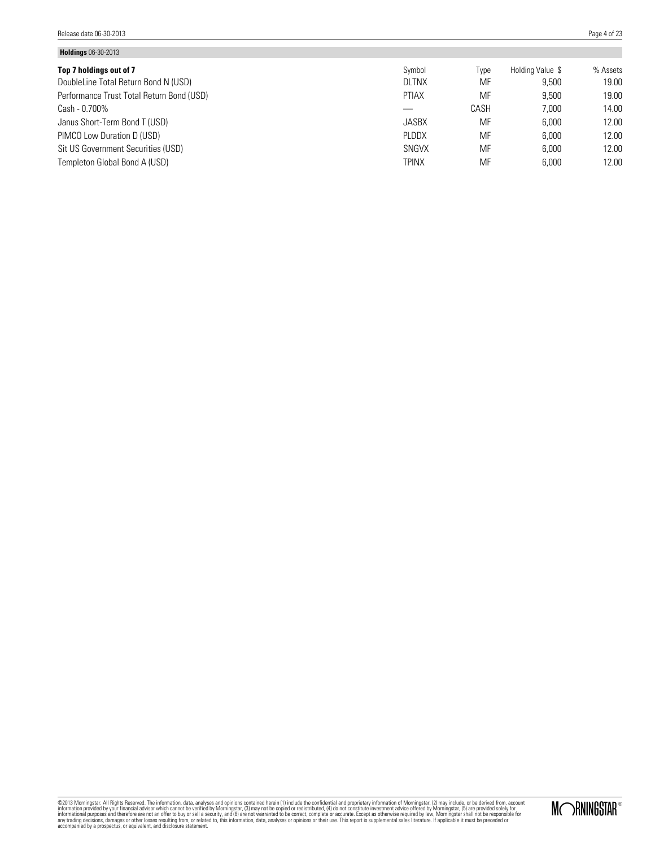| <b>Holdings</b> Ub-30-2013                |              |      |                  |          |
|-------------------------------------------|--------------|------|------------------|----------|
| Top 7 holdings out of 7                   | Symbol       | Type | Holding Value \$ | % Assets |
| DoubleLine Total Return Bond N (USD)      | <b>DLTNX</b> | MF   | 9.500            | 19.00    |
| Performance Trust Total Return Bond (USD) | <b>PTIAX</b> | MF   | 9.500            | 19.00    |
| Cash - 0.700%                             |              | CASH | 7.000            | 14.00    |
| Janus Short-Term Bond T (USD)             | <b>JASBX</b> | MF   | 6.000            | 12.00    |
| PIMCO Low Duration D (USD)                | PLDDX        | MF   | 6.000            | 12.00    |
| Sit US Government Securities (USD)        | SNGVX        | MF   | 6.000            | 12.00    |
| Templeton Global Bond A (USD)             | <b>TPINX</b> | MF   | 6.000            | 12.00    |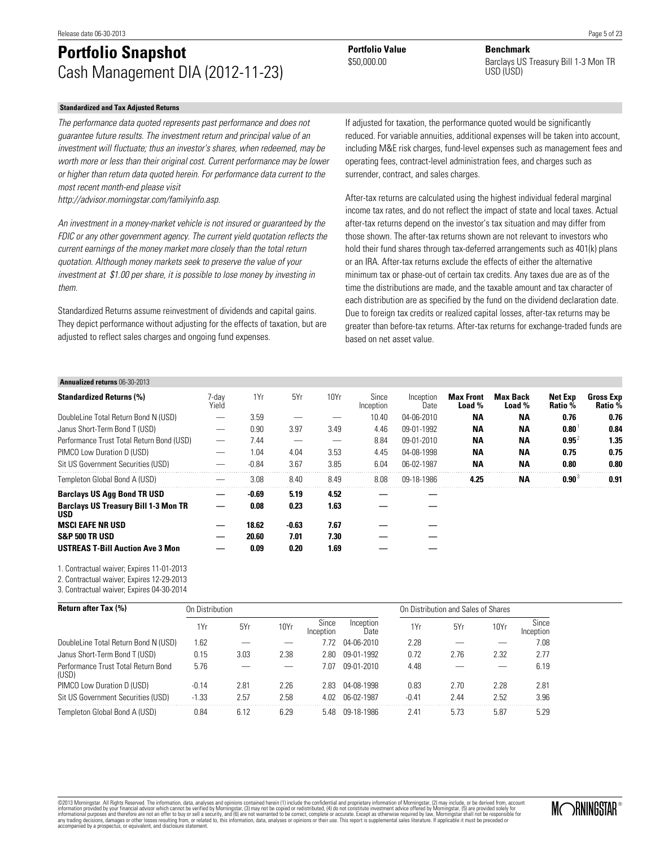# **Portfolio Snapshot Portfolio Value Benchmark**<br> **Benchmark Banclays** US Cash Management DIA (2012-11-23)

#### **Standardized and Tax Adjusted Returns**

The performance data quoted represents past performance and does not guarantee future results. The investment return and principal value of an investment will fluctuate; thus an investor's shares, when redeemed, may be worth more or less than their original cost. Current performance may be lower or higher than return data quoted herein. For performance data current to the most recent month-end please visit

http://advisor.morningstar.com/familyinfo.asp.

An investment in a money-market vehicle is not insured or guaranteed by the FDIC or any other government agency. The current yield quotation reflects the current earnings of the money market more closely than the total return quotation. Although money markets seek to preserve the value of your investment at \$1.00 per share, it is possible to lose money by investing in them.

Standardized Returns assume reinvestment of dividends and capital gains. They depict performance without adjusting for the effects of taxation, but are adjusted to reflect sales charges and ongoing fund expenses.

surrender, contract, and sales charges.

If adjusted for taxation, the performance quoted would be significantly reduced. For variable annuities, additional expenses will be taken into account, including M&E risk charges, fund-level expenses such as management fees and operating fees, contract-level administration fees, and charges such as

After-tax returns are calculated using the highest individual federal marginal income tax rates, and do not reflect the impact of state and local taxes. Actual after-tax returns depend on the investor's tax situation and may differ from those shown. The after-tax returns shown are not relevant to investors who hold their fund shares through tax-deferred arrangements such as 401(k) plans or an IRA. After-tax returns exclude the effects of either the alternative minimum tax or phase-out of certain tax credits. Any taxes due are as of the time the distributions are made, and the taxable amount and tax character of each distribution are as specified by the fund on the dividend declaration date. Due to foreign tax credits or realized capital losses, after-tax returns may be greater than before-tax returns. After-tax returns for exchange-traded funds are based on net asset value.

### **Annualized returns** 06-30-2013

| 7-dav<br>Yield | 1Yr     | 5Yr   | 10Yr | Since<br>Inception | Inception<br>Date | <b>Max Front</b><br>Load % | <b>Max Back</b><br>Load % | Net Exp<br><b>Ratio</b> % | <b>Gross Exp</b><br>Ratio % |
|----------------|---------|-------|------|--------------------|-------------------|----------------------------|---------------------------|---------------------------|-----------------------------|
| --             | 3.59    |       |      | 10.40              | 04-06-2010        | <b>NA</b>                  | ΝA                        | 0.76                      | 0.76                        |
|                | 0.90    | 3.97  | 3.49 | 4.46               | 09-01-1992        | <b>NA</b>                  | ΝA                        | $0.80^{\circ}$            | 0.84                        |
|                | 7.44    |       |      | 8.84               | 09-01-2010        | <b>NA</b>                  | ΝA                        | $0.95^2$                  | 1.35                        |
|                | 1.04    | 4.04  | 3.53 | 4.45               | 04-08-1998        | <b>NA</b>                  | ΝA                        | 0.75                      | 0.75                        |
|                | $-0.84$ | 3.67  | 3.85 | 6.04               | 06-02-1987        | <b>NA</b>                  | ΝA                        | 0.80                      | 0.80                        |
|                | 3.08    | 8.40  | 8.49 | 8.08               | 09-18-1986        | 4.25                       | ΝA                        | $0.90^3$                  | 0.91                        |
|                | -0.69   | 5.19  | 4.52 |                    |                   |                            |                           |                           |                             |
|                | 0.08    | 0.23  | 1.63 |                    |                   |                            |                           |                           |                             |
|                | 18.62   | -0.63 | 7.67 |                    |                   |                            |                           |                           |                             |
|                | 20.60   | 7.01  | 7.30 |                    |                   |                            |                           |                           |                             |
|                | 0.09    | 0.20  | 1.69 |                    |                   |                            |                           |                           |                             |
|                |         |       |      |                    |                   |                            |                           |                           |                             |

1. Contractual waiver; Expires 11-01-2013

2. Contractual waiver; Expires 12-29-2013

3. Contractual waiver; Expires 04-30-2014

| <b>Return after Tax (%)</b><br>On Distribution |         |      | On Distribution and Sales of Shares |                    |                   |         |      |      |                    |
|------------------------------------------------|---------|------|-------------------------------------|--------------------|-------------------|---------|------|------|--------------------|
|                                                | 1Yr     | 5Yr  | 10Yr                                | Since<br>Inception | Inception<br>Date | 1Yr     | 5Yr  | 10Yr | Since<br>Inception |
| DoubleLine Total Return Bond N (USD)           | 1.62    |      |                                     | 7.77               | 04-06-2010        | 2.28    |      |      | 7.08               |
| Janus Short-Term Bond T (USD)                  | 0.15    | 3.03 | 2.38                                | 2.80               | 09-01-1992        | 0.72    | 2.76 | 2.32 | 2.77               |
| Performance Trust Total Return Bond<br>(USD)   | 5.76    |      |                                     | 7.07               | 09-01-2010        | 4.48    |      |      | 6.19               |
| PIMCO Low Duration D (USD)                     | $-0.14$ | 2.81 | 2.26                                | 2.83               | 04-08-1998        | 0.83    | 2.70 | 2.28 | 2.81               |
| Sit US Government Securities (USD)             | $-1.33$ | 2.57 | 2.58                                | 4.02               | 06-02-1987        | $-0.41$ | 2.44 | 2.52 | 3.96               |
| Templeton Global Bond A (USD)                  | 0.84    | 6.12 | 6.29                                | 5 48               | በ9-18-1986        | 2.41    | 5.73 | 5.87 | 5.29               |

©2013 Morningstar. All Rights Reserved. The information, data, analyses and opinions contained herein (1) include the confidential and proprietary information of Morningstar, (2) may include, or be derived from, account information provided by your financial advisor which cannot be verified by Morningstar, (3) may not be copied or redistributed, (4) do not constitute investment advice offered by Morningstar, (5) are provided solely for<br>in

Barclays US Treasury Bill 1-3 Mon TR USD (USD)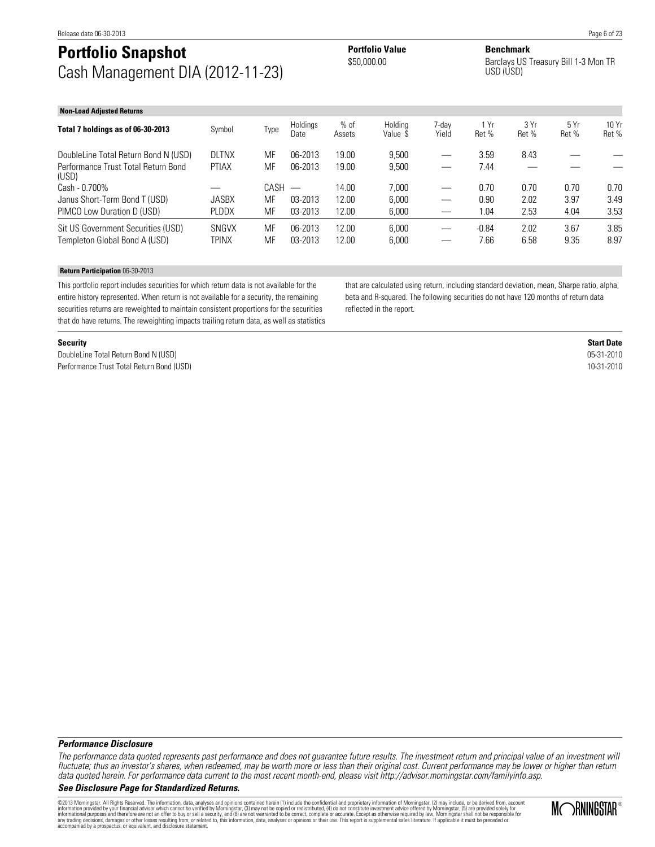# **Portfolio Snapshot Portfolio Value Benchmark**<br> **Benchmark**<br> **Banchware Banchware** Cash Management DIA (2012-11-23)

Barclays US Treasury Bill 1-3 Mon TR USD (USD)

| <b>Non-Load Adjusted Returns</b>                                    |                       |          |                          |                  |                     |                               |                 |               |              |                |
|---------------------------------------------------------------------|-----------------------|----------|--------------------------|------------------|---------------------|-------------------------------|-----------------|---------------|--------------|----------------|
| Total 7 holdings as of 06-30-2013                                   | Symbol                | Type     | Holdings<br>Date         | $%$ of<br>Assets | Holdina<br>Value \$ | 7-dav<br>Yield                | 1 Yr<br>Ret %   | 3 Yr<br>Ret % | 5Yr<br>Ret % | 10 Yr<br>Ret % |
| DoubleLine Total Return Bond N (USD)                                | <b>DLTNX</b>          | MF       | 06-2013                  | 19.00            | 9.500               |                               | 3.59            | 8.43          |              |                |
| Performance Trust Total Return Bond<br>(USD)                        | <b>PTIAX</b>          | MF       | 06-2013                  | 19.00            | 9,500               |                               | 7.44            |               |              |                |
| Cash - 0.700%                                                       |                       | CASH     | $\overline{\phantom{m}}$ | 14.00            | 7.000               |                               | 0.70            | 0.70          | 0.70         | 0.70           |
| Janus Short-Term Bond T (USD)                                       | <b>JASBX</b>          | MF       | 03-2013                  | 12.00            | 6.000               | $\overline{\phantom{0}}$      | 0.90            | 2.02          | 3.97         | 3.49           |
| PIMCO Low Duration D (USD)                                          | <b>PLDDX</b>          | MF       | 03-2013                  | 12.00            | 6,000               |                               | 1.04            | 2.53          | 4.04         | 3.53           |
| Sit US Government Securities (USD)<br>Templeton Global Bond A (USD) | <b>SNGVX</b><br>TPINX | MF<br>MF | 06-2013<br>03-2013       | 12.00<br>12.00   | 6.000<br>6.000      | $\overbrace{\phantom{12333}}$ | $-0.84$<br>7.66 | 2.02<br>6.58  | 3.67<br>9.35 | 3.85<br>8.97   |

#### **Return Participation** 06-30-2013

This portfolio report includes securities for which return data is not available for the entire history represented. When return is not available for a security, the remaining securities returns are reweighted to maintain consistent proportions for the securities that do have returns. The reweighting impacts trailing return data, as well as statistics that are calculated using return, including standard deviation, mean, Sharpe ratio, alpha, beta and R-squared. The following securities do not have 120 months of return data reflected in the report.

**Security Start Date** DoubleLine Total Return Bond N (USD) 05-31-2010 Performance Trust Total Return Bond (USD) 10-31-2010

#### **Performance Disclosure**

The performance data quoted represents past performance and does not guarantee future results. The investment return and principal value of an investment will fluctuate; thus an investor's shares, when redeemed, may be worth more or less than their original cost. Current performance may be lower or higher than return data quoted herein. For performance data current to the most recent month-end, please visit http://advisor.morningstar.com/familyinfo.asp.

#### **See Disclosure Page for Standardized Returns.**

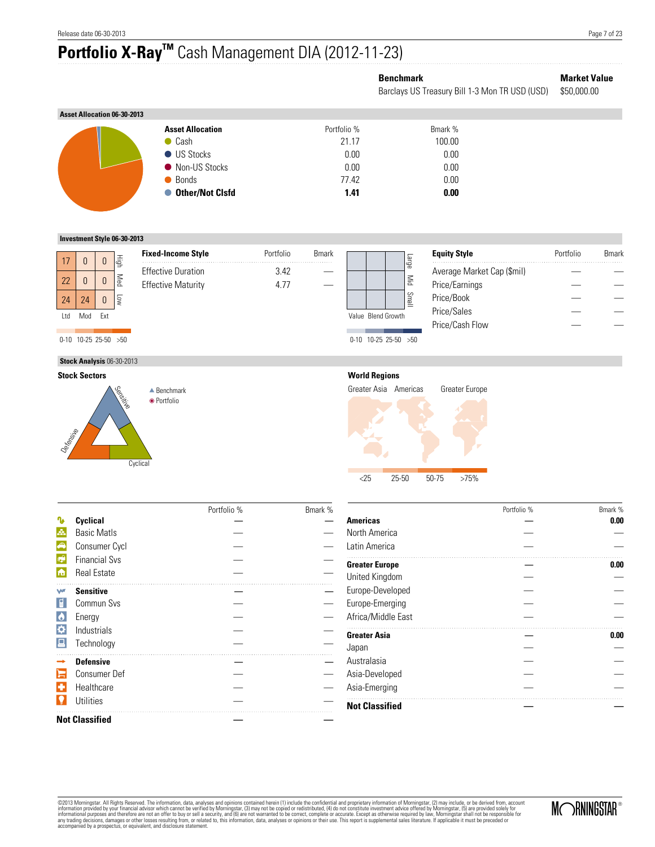# **Portfolio X-RayTM** Cash Management DIA (2012-11-23)

## **Benchmark Market Value**

Barclays US Treasury Bill 1-3 Mon TR USD (USD) \$50,000.00

| <b>Asset Allocation 06-30-2013</b> |                         |             |         |
|------------------------------------|-------------------------|-------------|---------|
|                                    | <b>Asset Allocation</b> | Portfolio % | Bmark % |
|                                    | $\bullet$ Cash          | 21.17       | 100.00  |
|                                    | ● US Stocks             | 0.00        | 0.00    |
|                                    | • Non-US Stocks         | 0.00        | 0.00    |
|                                    | ● Bonds                 | 77.42       | 0.00    |
|                                    | ● Other/Not Clsfd       | 1.41        | 0.00    |

#### **Investment Style 06-30-2013**

|     |                          |     |                           | <b>Fixed-Income Style</b> | Portfolio | <b>B</b> mark |                              | <b>Equity Style</b>        | Portfolio | <b>Bmark</b> |
|-----|--------------------------|-----|---------------------------|---------------------------|-----------|---------------|------------------------------|----------------------------|-----------|--------------|
| 17  |                          |     | light<br>S                |                           |           |               | ange                         |                            |           |              |
|     |                          |     |                           | <b>Effective Duration</b> | 3.42      |               |                              | Average Market Cap (\$mil) |           |              |
| 22  |                          |     | Med                       | <b>Effective Maturity</b> | 4.77      |               | $\mathop{\rm Spin}\nolimits$ | Price/Earnings             |           |              |
| 24  | 24                       |     | ļ                         |                           |           |               | Small                        | Price/Book                 |           |              |
| Ltd | Mod                      | Fxt |                           |                           |           |               | Value Blend Growth           | Price/Sales                |           |              |
|     |                          |     |                           |                           |           |               |                              | Price/Cash Flow            |           |              |
|     | $0-10$ 10-25 25-50 $>50$ |     |                           |                           |           |               | $0-10$ 10-25 25-50 $>50$     |                            |           |              |
|     |                          |     | Stock Analysis 06-30-2013 |                           |           |               |                              |                            |           |              |

## **Stock Sectors**





#### **World Regions**

Greater Asia Americas Greater Europe



|                |                       | Portfolio % | Bmark % |
|----------------|-----------------------|-------------|---------|
|                | Cyclical              |             |         |
| Æ.             | <b>Basic Matls</b>    |             |         |
| A              | Consumer Cycl         |             |         |
| $\mathbb{R}^2$ | <b>Financial Sys</b>  |             |         |
| 商              | <b>Real Estate</b>    |             |         |
| w              | <b>Sensitive</b>      |             |         |
|                | Commun Svs            |             |         |
| $\bullet$      | Energy                |             |         |
| ⋫              | Industrials           |             |         |
|                | Technology            |             |         |
|                | <b>Defensive</b>      |             |         |
|                | <b>Consumer Def</b>   |             |         |
|                | Healthcare            |             |         |
|                | Utilities             |             |         |
|                | <b>Not Classified</b> |             |         |

|                       | Portfolio % | Bmark % |
|-----------------------|-------------|---------|
| <b>Americas</b>       |             | 0.00    |
| North America         |             |         |
| Latin America         |             |         |
| <b>Greater Europe</b> |             | 0.00    |
| United Kingdom        |             |         |
| Europe-Developed      |             |         |
| Europe-Emerging       |             |         |
| Africa/Middle East    |             |         |
| <b>Greater Asia</b>   |             | 0.00    |
| Japan                 |             |         |
| Australasia           |             |         |
| Asia-Developed        |             |         |
| Asia-Emerging         |             |         |

@2013 Morningstar. All Rights Reserved. The information, data, analyses and opinions contained hrein (1) include the confidential and proprietary information of Morningstar, (5) are provided solely for<br>information provided

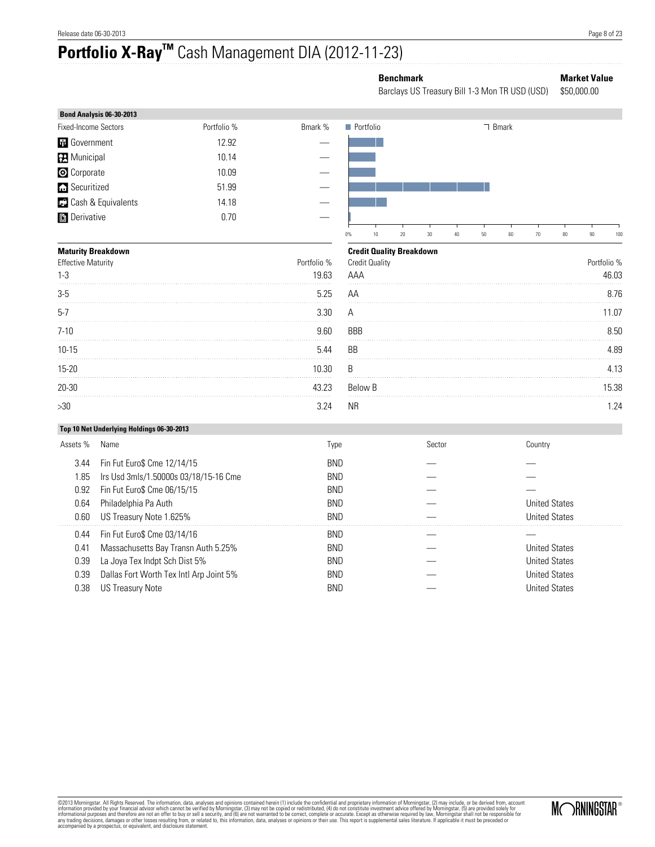# **Portfolio X-RayTM** Cash Management DIA (2012-11-23)

## **Benchmark Market Value**

Barclays US Treasury Bill 1-3 Mon TR USD (USD) \$50,000.00

| Bond Analysis 06-30-2013    |             |         |                  |       |
|-----------------------------|-------------|---------|------------------|-------|
| <b>Fixed-Income Sectors</b> | Portfolio % | Bmark % | <b>Portfolio</b> | Bmark |
| <b>th</b> Government        | 12.92       |         |                  |       |
| <b>Municipal</b>            | 10.14       |         |                  |       |
| <b>C</b> Corporate          | 10.09       |         |                  |       |
| Securitized                 | 51.99       |         |                  |       |
| <b>C</b> Cash & Equivalents | 14.18       |         |                  |       |
| <b>Derivative</b>           | 0.70        |         |                  |       |
|                             |             |         |                  |       |

#### **Maturity Breakdown**

| <b>Effective Maturity</b><br>$1 - 3$ | Portfolio %<br>19.63 |
|--------------------------------------|----------------------|
| $3-5$                                | 5.25                 |
| $5-7$                                | 3.30                 |
| $7 - 10$                             | 9.60                 |
| $10 - 15$                            | 5.44                 |
| $15 - 20$                            | 10.30                |
| 20-30                                | 43.23                |
| >30                                  | 3 2 4                |



#### **Credit Quality Breakdown**

| <u>UIGUIL QUAIILY DIGARAOWII</u><br><b>Credit Quality</b><br>AAA | Portfolio %<br>46.03 |
|------------------------------------------------------------------|----------------------|
| AA                                                               | 8.76                 |
| А                                                                | 11.07                |
| <b>BBB</b>                                                       | 8.50                 |
| BB                                                               | 4.89                 |
| B                                                                | 4.13                 |
| Below B                                                          | 15.38                |
| <b>NR</b>                                                        | 1.24                 |

#### **Top 10 Net Underlying Holdings 06-30-2013**

| Assets % | Name                                    | Type       | Sector | Countrv              |
|----------|-----------------------------------------|------------|--------|----------------------|
| 3.44     | Fin Fut Euro\$ Cme 12/14/15             | <b>BND</b> |        |                      |
| 1.85     | Irs Usd 3mls/1.50000s 03/18/15-16 Cme   | <b>BND</b> |        |                      |
| 0.92     | Fin Fut Euro\$ Cme 06/15/15             | <b>BND</b> |        |                      |
| 0.64     | Philadelphia Pa Auth                    | <b>BND</b> |        | <b>United States</b> |
| 0.60     | US Treasury Note 1.625%                 | <b>BND</b> |        | <b>United States</b> |
| 0.44     | Fin Fut Euro\$ Cme 03/14/16             | <b>BND</b> |        |                      |
| 0.41     | Massachusetts Bay Transn Auth 5.25%     | <b>BND</b> |        | <b>United States</b> |
| 0.39     | La Joya Tex Indpt Sch Dist 5%           | <b>BND</b> |        | <b>United States</b> |
| 0.39     | Dallas Fort Worth Tex Intl Arp Joint 5% | <b>BND</b> |        | <b>United States</b> |
| 0.38     | US Treasury Note                        | BND        |        | <b>United States</b> |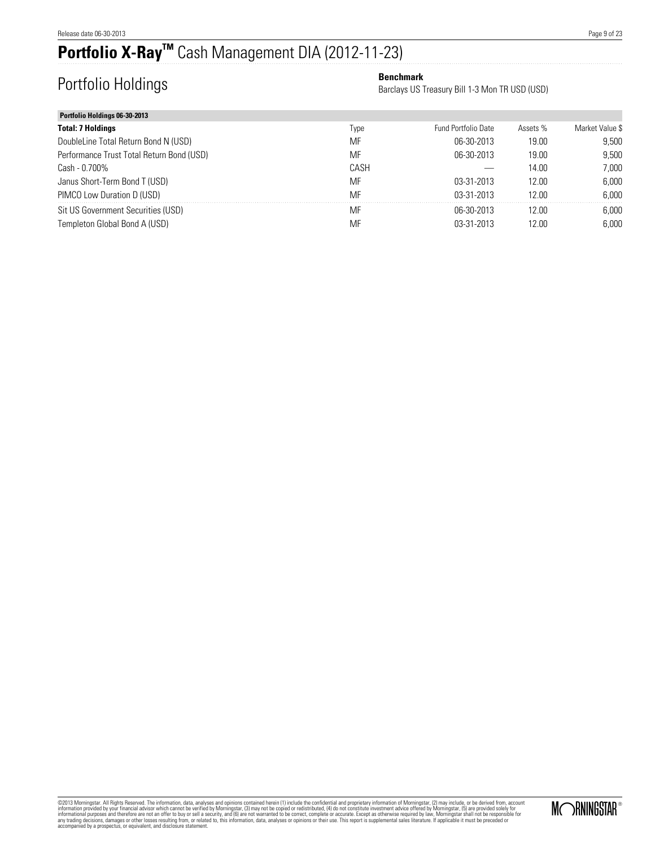# **Portfolio X-RayTM** Cash Management DIA (2012-11-23)

# **Portfolio Holdings Benchmark Benchmark Benchmark**

Barclays US Treasury Bill 1-3 Mon TR USD (USD)

| Portfolio Holdings 06-30-2013             |      |                     |          |                 |
|-------------------------------------------|------|---------------------|----------|-----------------|
| <b>Total: 7 Holdings</b>                  | Type | Fund Portfolio Date | Assets % | Market Value \$ |
| DoubleLine Total Return Bond N (USD)      | MF   | 06-30-2013          | 19.00    | 9.500           |
| Performance Trust Total Return Bond (USD) | MF   | 06-30-2013          | 19.00    | 9.500           |
| Cash - 0.700%                             | CASH |                     | 14.00    | 7.000           |
| Janus Short-Term Bond T (USD)             | MF   | 03-31-2013          | 12.00    | 6.000           |
| PIMCO Low Duration D (USD)                | MF   | 03-31-2013          | 12.00    | 6.000           |
| Sit US Government Securities (USD)        | MF   | 06-30-2013          | 12.00    | 6,000           |
| Templeton Global Bond A (USD)             | MF   | 03-31-2013          | 12.00    | 6.000           |

@2013 Morningstar. All Rights Reserved. The information, data, analyses and opinions contained hrein (1) include the confidential and proprietary information of Morningstar, (5) are provided solely for<br>information provided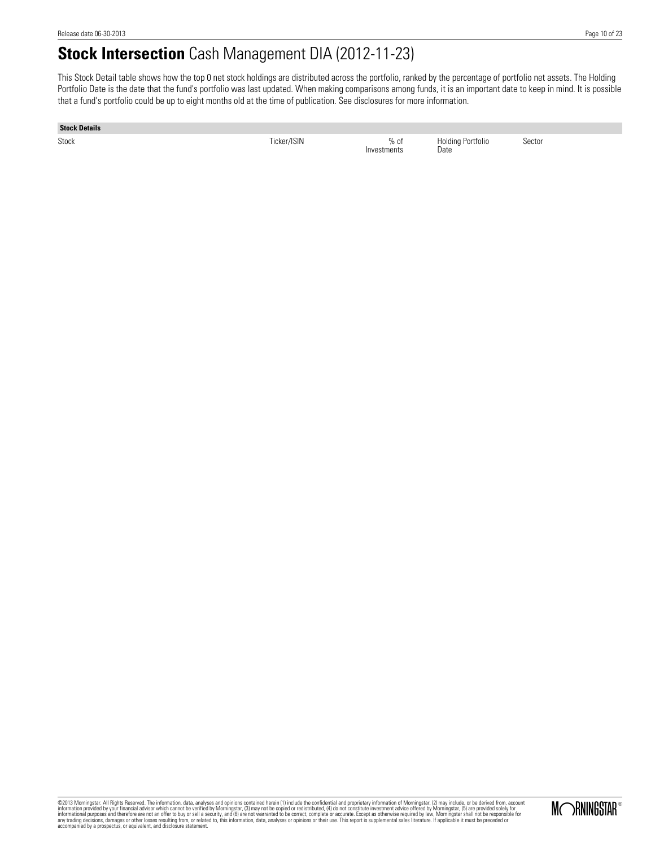# **Stock Intersection** Cash Management DIA (2012-11-23)

This Stock Detail table shows how the top 0 net stock holdings are distributed across the portfolio, ranked by the percentage of portfolio net assets. The Holding Portfolio Date is the date that the fund's portfolio was last updated. When making comparisons among funds, it is an important date to keep in mind. It is possible that a fund's portfolio could be up to eight months old at the time of publication. See disclosures for more information.

#### **Stock Details**

Stock Ticker/ISIN % of

Investments

Holding Portfolio Date

Sector

MORNINGSTAR®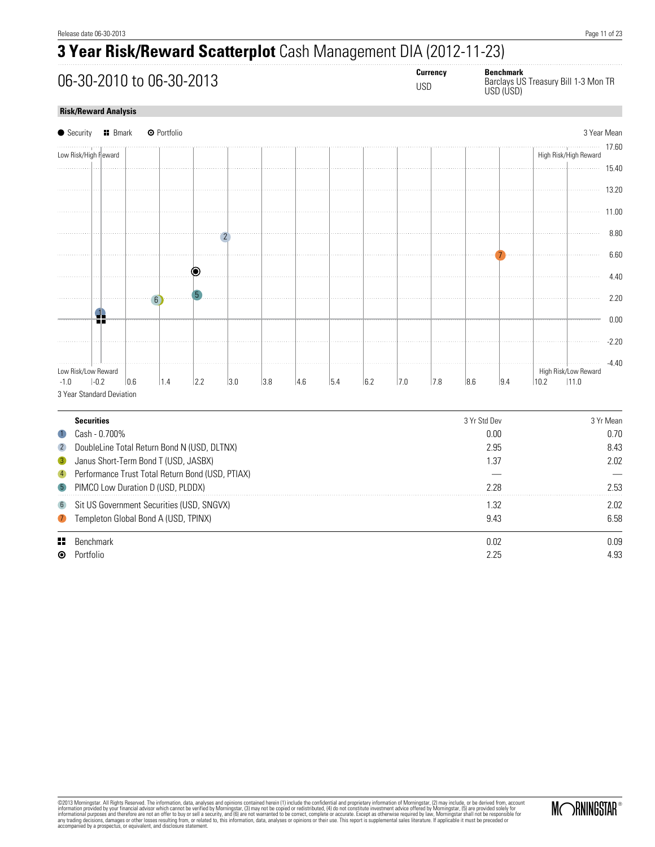. . . . . . . . . . . . . . . . .

# **3 Year Risk/Reward Scatterplot** Cash Management DIA (2012-11-23)

**06-30-2010 to 06-30-2013**<br> **Currency Benchmark**<br>
USD Barclays US

| <b>Currency</b> |  |
|-----------------|--|
| 110D            |  |

USD Barclays US Treasury Bill 1-3 Mon TR USD (USD)

#### **Risk/Reward Analysis**

|                  | $\bullet$ Security<br><b>H</b> Bmark             |     | <b>O</b> Portfolio |     |     |     |     |     |     |     |     |              |      |      |                       | 3 Year Mean |
|------------------|--------------------------------------------------|-----|--------------------|-----|-----|-----|-----|-----|-----|-----|-----|--------------|------|------|-----------------------|-------------|
|                  | Low Risk/High Fleward                            |     |                    |     |     |     |     |     |     |     |     |              |      |      | High Risk/High Reward | 17.60       |
|                  |                                                  |     |                    |     |     |     |     |     |     |     |     |              |      |      |                       | 15.40       |
|                  |                                                  |     |                    |     |     |     |     |     |     |     |     |              |      |      |                       |             |
|                  |                                                  |     |                    |     |     |     |     |     |     |     |     |              |      |      |                       | 13.20       |
|                  |                                                  |     |                    |     |     |     |     |     |     |     |     |              |      |      |                       | 11.00       |
|                  |                                                  |     |                    |     |     |     |     |     |     |     |     |              |      |      |                       | 8.80        |
|                  |                                                  |     |                    |     |     |     |     |     |     |     |     |              |      |      |                       |             |
|                  |                                                  |     |                    |     |     |     |     |     |     |     |     |              |      |      |                       | 6.60        |
|                  |                                                  |     |                    | ◉   |     |     |     |     |     |     |     |              |      |      |                       | 4.40        |
|                  |                                                  |     |                    | b   |     |     |     |     |     |     |     |              |      |      |                       |             |
|                  |                                                  |     | 6                  |     |     |     |     |     |     |     |     |              |      |      |                       | 2.20        |
|                  | g,<br>πг                                         |     |                    |     |     |     |     |     |     |     |     |              |      |      |                       | 0.00        |
|                  |                                                  |     |                    |     |     |     |     |     |     |     |     |              |      |      |                       | $-2.20$     |
|                  |                                                  |     |                    |     |     |     |     |     |     |     |     |              |      |      |                       |             |
|                  | Low Risk/Low Reward                              |     |                    |     |     |     |     |     |     |     |     |              |      |      | High Risk/Low Reward  | $-4.40$     |
| $-1.0$           | $-0.2$                                           | 0.6 | 1.4                | 2.2 | 3.0 | 3.8 | 4.6 | 5.4 | 6.2 | 7.0 | 7.8 | 8.6          | 9.4  | 10.2 | 11.0                  |             |
|                  | 3 Year Standard Deviation                        |     |                    |     |     |     |     |     |     |     |     |              |      |      |                       |             |
|                  | <b>Securities</b>                                |     |                    |     |     |     |     |     |     |     |     | 3 Yr Std Dev |      |      |                       | 3 Yr Mean   |
| $\blacksquare$   | Cash - 0.700%                                    |     |                    |     |     |     |     |     |     |     |     |              | 0.00 |      |                       | 0.70        |
| $\overline{2}$   | DoubleLine Total Return Bond N (USD, DLTNX)      |     |                    |     |     |     |     |     |     |     |     |              | 2.95 |      |                       | 8.43        |
| $\mathbf{B}$     | Janus Short-Term Bond T (USD, JASBX)             |     |                    |     |     |     |     |     |     |     |     |              | 1.37 |      |                       | 2.02        |
| $\overline{4}$   | Performance Trust Total Return Bond (USD, PTIAX) |     |                    |     |     |     |     |     |     |     |     |              |      |      |                       |             |
| $\sqrt{5}$       | PIMCO Low Duration D (USD, PLDDX)                |     |                    |     |     |     |     |     |     |     |     |              | 2.28 |      |                       | 2.53        |
| $6\phantom{.}6$  | Sit US Government Securities (USD, SNGVX)        |     |                    |     |     |     |     |     |     |     |     |              | 1.32 |      |                       | 2.02        |
| $\left(7\right)$ | Templeton Global Bond A (USD, TPINX)             |     |                    |     |     |     |     |     |     |     |     |              | 9.43 |      |                       | 6.58        |
| 85               | Benchmark                                        |     |                    |     |     |     |     |     |     |     |     |              | 0.02 |      |                       | 0.09        |
| ◉                | Portfolio                                        |     |                    |     |     |     |     |     |     |     |     |              | 2.25 |      |                       | 4.93        |

@2013 Morningstar. All Rights Reserved. The information, data, analyses and opinions contained hrein (1) include the confidential and proprietary information of Morningstar, (5) are provided solely for<br>information provided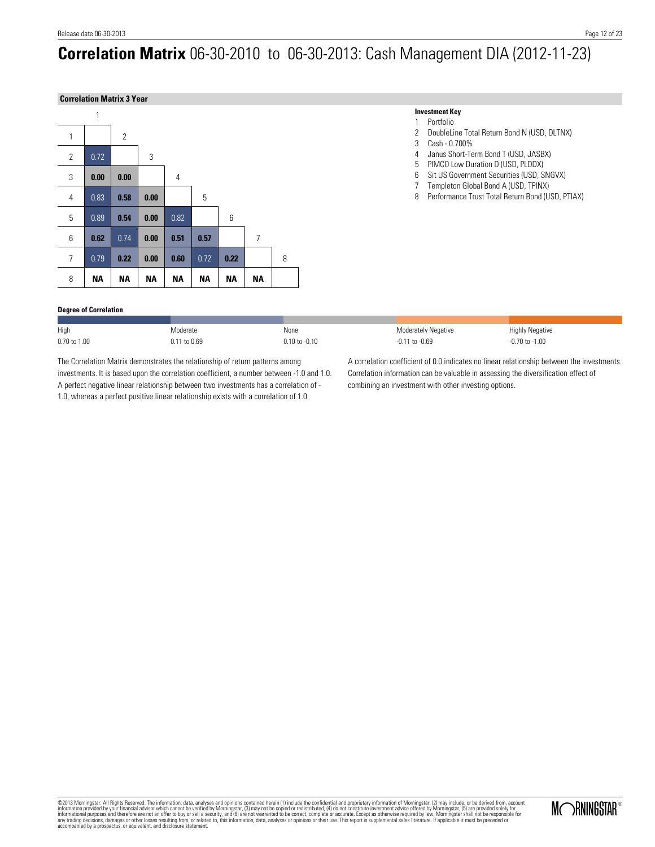# **Correlation Matrix** 06-30-2010 to 06-30-2013: Cash Management DIA (2012-11-23)

#### **Correlation Matrix 3 Year**



### **Degree of Correlation**

| High         | Aoderate    | None              | <b>Moderately Negative</b> | <b>Highly Negative</b> |
|--------------|-------------|-------------------|----------------------------|------------------------|
| 0.70 to 1.00 | .11 to 0.69 | $0.10$ to $-0.10$ | 1 to $-0.69$               | -0.70 to -1.00         |

The Correlation Matrix demonstrates the relationship of return patterns among investments. It is based upon the correlation coefficient, a number between -1.0 and 1.0. A perfect negative linear relationship between two investments has a correlation of - 1.0, whereas a perfect positive linear relationship exists with a correlation of 1.0.

A correlation coefficient of 0.0 indicates no linear relationship between the investments. Correlation information can be valuable in assessing the diversification effect of combining an investment with other investing options.

2 DoubleLine Total Return Bond N (USD, DLTNX)

4 Janus Short-Term Bond T (USD, JASBX)<br>5 PIMCO Low Duration D (USD, PLDDX) 5 PIMCO Low Duration D (USD, PLDDX)<br>6 Sit US Government Securities (USD, S Sit US Government Securities (USD, SNGVX) 7 Templeton Global Bond A (USD, TPINX) 8 Performance Trust Total Return Bond (USD, PTIAX)

**Investment Key** 1 Portfolio

3 Cash - 0.700%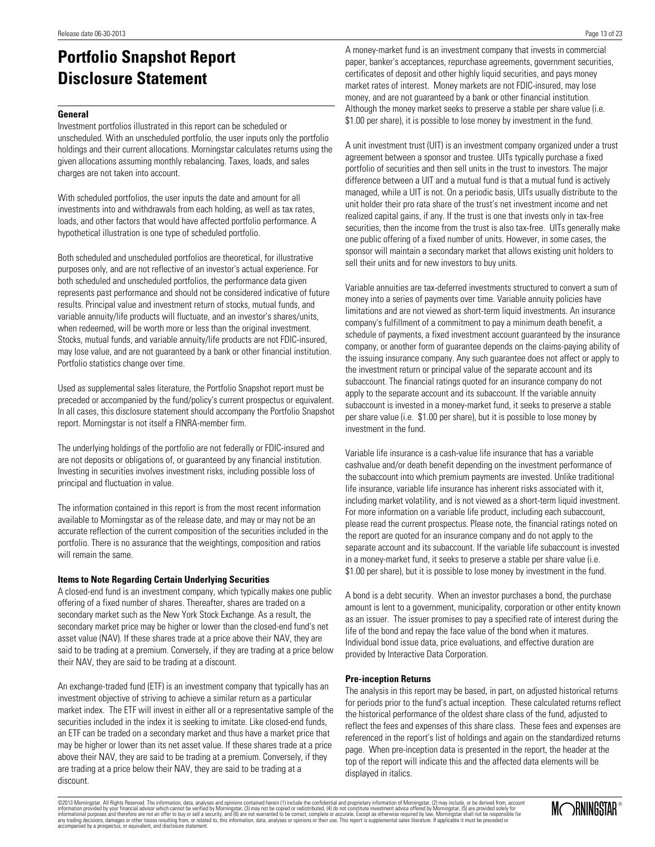# **Portfolio Snapshot Report Disclosure Statement**

#### **General**

Investment portfolios illustrated in this report can be scheduled or unscheduled. With an unscheduled portfolio, the user inputs only the portfolio holdings and their current allocations. Morningstar calculates returns using the given allocations assuming monthly rebalancing. Taxes, loads, and sales charges are not taken into account.

With scheduled portfolios, the user inputs the date and amount for all investments into and withdrawals from each holding, as well as tax rates, loads, and other factors that would have affected portfolio performance. A hypothetical illustration is one type of scheduled portfolio.

Both scheduled and unscheduled portfolios are theoretical, for illustrative purposes only, and are not reflective of an investor's actual experience. For both scheduled and unscheduled portfolios, the performance data given represents past performance and should not be considered indicative of future results. Principal value and investment return of stocks, mutual funds, and variable annuity/life products will fluctuate, and an investor's shares/units, when redeemed, will be worth more or less than the original investment. Stocks, mutual funds, and variable annuity/life products are not FDIC-insured, may lose value, and are not guaranteed by a bank or other financial institution. Portfolio statistics change over time.

Used as supplemental sales literature, the Portfolio Snapshot report must be preceded or accompanied by the fund/policy's current prospectus or equivalent. In all cases, this disclosure statement should accompany the Portfolio Snapshot report. Morningstar is not itself a FINRA-member firm.

The underlying holdings of the portfolio are not federally or FDIC-insured and are not deposits or obligations of, or guaranteed by any financial institution. Investing in securities involves investment risks, including possible loss of principal and fluctuation in value.

The information contained in this report is from the most recent information available to Morningstar as of the release date, and may or may not be an accurate reflection of the current composition of the securities included in the portfolio. There is no assurance that the weightings, composition and ratios will remain the same.

#### **Items to Note Regarding Certain Underlying Securities**

A closed-end fund is an investment company, which typically makes one public offering of a fixed number of shares. Thereafter, shares are traded on a secondary market such as the New York Stock Exchange. As a result, the secondary market price may be higher or lower than the closed-end fund's net asset value (NAV). If these shares trade at a price above their NAV, they are said to be trading at a premium. Conversely, if they are trading at a price below their NAV, they are said to be trading at a discount.

An exchange-traded fund (ETF) is an investment company that typically has an investment objective of striving to achieve a similar return as a particular market index. The ETF will invest in either all or a representative sample of the securities included in the index it is seeking to imitate. Like closed-end funds, an ETF can be traded on a secondary market and thus have a market price that may be higher or lower than its net asset value. If these shares trade at a price above their NAV, they are said to be trading at a premium. Conversely, if they are trading at a price below their NAV, they are said to be trading at a discount.

A money-market fund is an investment company that invests in commercial paper, banker's acceptances, repurchase agreements, government securities, certificates of deposit and other highly liquid securities, and pays money market rates of interest. Money markets are not FDIC-insured, may lose money, and are not guaranteed by a bank or other financial institution. Although the money market seeks to preserve a stable per share value (i.e. \$1.00 per share), it is possible to lose money by investment in the fund.

A unit investment trust (UIT) is an investment company organized under a trust agreement between a sponsor and trustee. UITs typically purchase a fixed portfolio of securities and then sell units in the trust to investors. The major difference between a UIT and a mutual fund is that a mutual fund is actively managed, while a UIT is not. On a periodic basis, UITs usually distribute to the unit holder their pro rata share of the trust's net investment income and net realized capital gains, if any. If the trust is one that invests only in tax-free securities, then the income from the trust is also tax-free. UITs generally make one public offering of a fixed number of units. However, in some cases, the sponsor will maintain a secondary market that allows existing unit holders to sell their units and for new investors to buy units.

Variable annuities are tax-deferred investments structured to convert a sum of money into a series of payments over time. Variable annuity policies have limitations and are not viewed as short-term liquid investments. An insurance company's fulfillment of a commitment to pay a minimum death benefit, a schedule of payments, a fixed investment account guaranteed by the insurance company, or another form of guarantee depends on the claims-paying ability of the issuing insurance company. Any such guarantee does not affect or apply to the investment return or principal value of the separate account and its subaccount. The financial ratings quoted for an insurance company do not apply to the separate account and its subaccount. If the variable annuity subaccount is invested in a money-market fund, it seeks to preserve a stable per share value (i.e. \$1.00 per share), but it is possible to lose money by investment in the fund.

Variable life insurance is a cash-value life insurance that has a variable cashvalue and/or death benefit depending on the investment performance of the subaccount into which premium payments are invested. Unlike traditional life insurance, variable life insurance has inherent risks associated with it, including market volatility, and is not viewed as a short-term liquid investment. For more information on a variable life product, including each subaccount, please read the current prospectus. Please note, the financial ratings noted on the report are quoted for an insurance company and do not apply to the separate account and its subaccount. If the variable life subaccount is invested in a money-market fund, it seeks to preserve a stable per share value (i.e. \$1.00 per share), but it is possible to lose money by investment in the fund.

A bond is a debt security. When an investor purchases a bond, the purchase amount is lent to a government, municipality, corporation or other entity known as an issuer. The issuer promises to pay a specified rate of interest during the life of the bond and repay the face value of the bond when it matures. Individual bond issue data, price evaluations, and effective duration are provided by Interactive Data Corporation.

#### **Pre-inception Returns**

The analysis in this report may be based, in part, on adjusted historical returns for periods prior to the fund's actual inception. These calculated returns reflect the historical performance of the oldest share class of the fund, adjusted to reflect the fees and expenses of this share class. These fees and expenses are referenced in the report's list of holdings and again on the standardized returns page. When pre-inception data is presented in the report, the header at the top of the report will indicate this and the affected data elements will be displayed in italics.

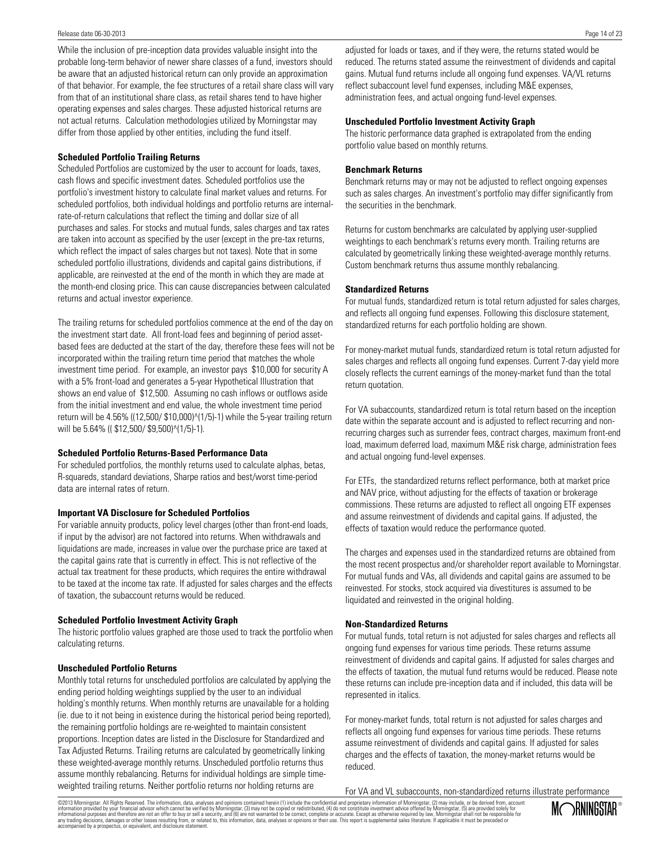#### Release date 06-30-2013

While the inclusion of pre-inception data provides valuable insight into the probable long-term behavior of newer share classes of a fund, investors should be aware that an adjusted historical return can only provide an approximation of that behavior. For example, the fee structures of a retail share class will vary from that of an institutional share class, as retail shares tend to have higher operating expenses and sales charges. These adjusted historical returns are not actual returns. Calculation methodologies utilized by Morningstar may differ from those applied by other entities, including the fund itself.

#### **Scheduled Portfolio Trailing Returns**

Scheduled Portfolios are customized by the user to account for loads, taxes, cash flows and specific investment dates. Scheduled portfolios use the portfolio's investment history to calculate final market values and returns. For scheduled portfolios, both individual holdings and portfolio returns are internalrate-of-return calculations that reflect the timing and dollar size of all purchases and sales. For stocks and mutual funds, sales charges and tax rates are taken into account as specified by the user (except in the pre-tax returns, which reflect the impact of sales charges but not taxes). Note that in some scheduled portfolio illustrations, dividends and capital gains distributions, if applicable, are reinvested at the end of the month in which they are made at the month-end closing price. This can cause discrepancies between calculated returns and actual investor experience.

The trailing returns for scheduled portfolios commence at the end of the day on the investment start date. All front-load fees and beginning of period assetbased fees are deducted at the start of the day, therefore these fees will not be incorporated within the trailing return time period that matches the whole investment time period. For example, an investor pays \$10,000 for security A with a 5% front-load and generates a 5-year Hypothetical Illustration that shows an end value of \$12,500. Assuming no cash inflows or outflows aside from the initial investment and end value, the whole investment time period return will be 4.56% ((12,500/ \$10,000)^(1/5)-1) while the 5-year trailing return will be 5.64% ((\$12,500/\$9,500)^(1/5)-1).

#### **Scheduled Portfolio Returns-Based Performance Data**

For scheduled portfolios, the monthly returns used to calculate alphas, betas, R-squareds, standard deviations, Sharpe ratios and best/worst time-period data are internal rates of return.

#### **Important VA Disclosure for Scheduled Portfolios**

For variable annuity products, policy level charges (other than front-end loads, if input by the advisor) are not factored into returns. When withdrawals and liquidations are made, increases in value over the purchase price are taxed at the capital gains rate that is currently in effect. This is not reflective of the actual tax treatment for these products, which requires the entire withdrawal to be taxed at the income tax rate. If adjusted for sales charges and the effects of taxation, the subaccount returns would be reduced.

#### **Scheduled Portfolio Investment Activity Graph**

The historic portfolio values graphed are those used to track the portfolio when calculating returns.

#### **Unscheduled Portfolio Returns**

Monthly total returns for unscheduled portfolios are calculated by applying the ending period holding weightings supplied by the user to an individual holding's monthly returns. When monthly returns are unavailable for a holding (ie. due to it not being in existence during the historical period being reported), the remaining portfolio holdings are re-weighted to maintain consistent proportions. Inception dates are listed in the Disclosure for Standardized and Tax Adjusted Returns. Trailing returns are calculated by geometrically linking these weighted-average monthly returns. Unscheduled portfolio returns thus assume monthly rebalancing. Returns for individual holdings are simple timeweighted trailing returns. Neither portfolio returns nor holding returns are

adjusted for loads or taxes, and if they were, the returns stated would be reduced. The returns stated assume the reinvestment of dividends and capital gains. Mutual fund returns include all ongoing fund expenses. VA/VL returns reflect subaccount level fund expenses, including M&E expenses, administration fees, and actual ongoing fund-level expenses.

#### **Unscheduled Portfolio Investment Activity Graph**

The historic performance data graphed is extrapolated from the ending portfolio value based on monthly returns.

#### **Benchmark Returns**

Benchmark returns may or may not be adjusted to reflect ongoing expenses such as sales charges. An investment's portfolio may differ significantly from the securities in the benchmark.

Returns for custom benchmarks are calculated by applying user-supplied weightings to each benchmark's returns every month. Trailing returns are calculated by geometrically linking these weighted-average monthly returns. Custom benchmark returns thus assume monthly rebalancing.

#### **Standardized Returns**

For mutual funds, standardized return is total return adjusted for sales charges, and reflects all ongoing fund expenses. Following this disclosure statement, standardized returns for each portfolio holding are shown.

For money-market mutual funds, standardized return is total return adjusted for sales charges and reflects all ongoing fund expenses. Current 7-day yield more closely reflects the current earnings of the money-market fund than the total return quotation.

For VA subaccounts, standardized return is total return based on the inception date within the separate account and is adjusted to reflect recurring and nonrecurring charges such as surrender fees, contract charges, maximum front-end load, maximum deferred load, maximum M&E risk charge, administration fees and actual ongoing fund-level expenses.

For ETFs, the standardized returns reflect performance, both at market price and NAV price, without adjusting for the effects of taxation or brokerage commissions. These returns are adjusted to reflect all ongoing ETF expenses and assume reinvestment of dividends and capital gains. If adjusted, the effects of taxation would reduce the performance quoted.

The charges and expenses used in the standardized returns are obtained from the most recent prospectus and/or shareholder report available to Morningstar. For mutual funds and VAs, all dividends and capital gains are assumed to be reinvested. For stocks, stock acquired via divestitures is assumed to be liquidated and reinvested in the original holding.

#### **Non-Standardized Returns**

For mutual funds, total return is not adjusted for sales charges and reflects all ongoing fund expenses for various time periods. These returns assume reinvestment of dividends and capital gains. If adjusted for sales charges and the effects of taxation, the mutual fund returns would be reduced. Please note these returns can include pre-inception data and if included, this data will be represented in italics.

For money-market funds, total return is not adjusted for sales charges and reflects all ongoing fund expenses for various time periods. These returns assume reinvestment of dividends and capital gains. If adjusted for sales charges and the effects of taxation, the money-market returns would be reduced.

For VA and VL subaccounts, non-standardized returns illustrate performance

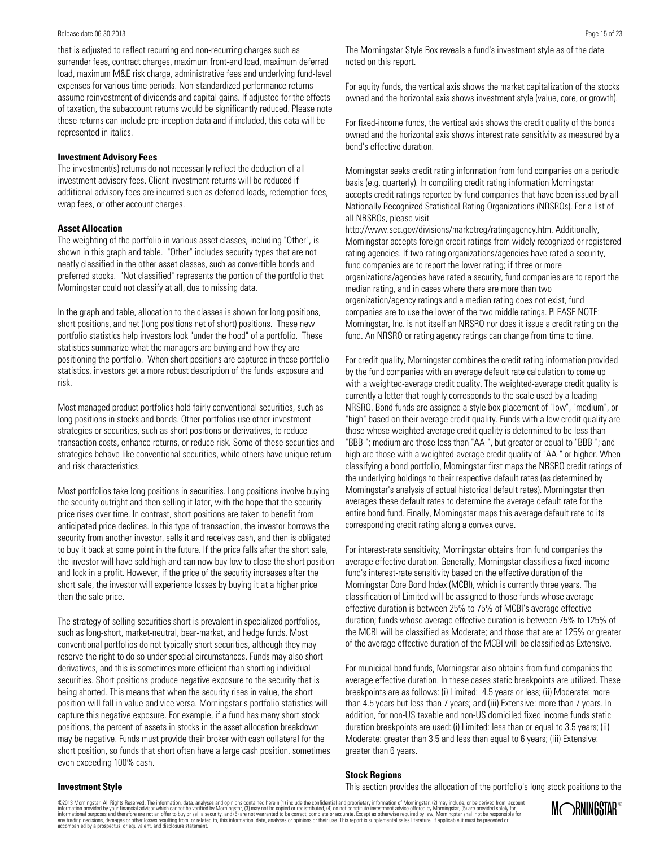that is adjusted to reflect recurring and non-recurring charges such as surrender fees, contract charges, maximum front-end load, maximum deferred load, maximum M&E risk charge, administrative fees and underlying fund-level expenses for various time periods. Non-standardized performance returns assume reinvestment of dividends and capital gains. If adjusted for the effects of taxation, the subaccount returns would be significantly reduced. Please note these returns can include pre-inception data and if included, this data will be represented in italics.

#### **Investment Advisory Fees**

The investment(s) returns do not necessarily reflect the deduction of all investment advisory fees. Client investment returns will be reduced if additional advisory fees are incurred such as deferred loads, redemption fees, wrap fees, or other account charges.

#### **Asset Allocation**

The weighting of the portfolio in various asset classes, including "Other", is shown in this graph and table. "Other" includes security types that are not neatly classified in the other asset classes, such as convertible bonds and preferred stocks. "Not classified" represents the portion of the portfolio that Morningstar could not classify at all, due to missing data.

In the graph and table, allocation to the classes is shown for long positions, short positions, and net (long positions net of short) positions. These new portfolio statistics help investors look "under the hood" of a portfolio. These statistics summarize what the managers are buying and how they are positioning the portfolio. When short positions are captured in these portfolio statistics, investors get a more robust description of the funds' exposure and risk.

Most managed product portfolios hold fairly conventional securities, such as long positions in stocks and bonds. Other portfolios use other investment strategies or securities, such as short positions or derivatives, to reduce transaction costs, enhance returns, or reduce risk. Some of these securities and strategies behave like conventional securities, while others have unique return and risk characteristics.

Most portfolios take long positions in securities. Long positions involve buying the security outright and then selling it later, with the hope that the security price rises over time. In contrast, short positions are taken to benefit from anticipated price declines. In this type of transaction, the investor borrows the security from another investor, sells it and receives cash, and then is obligated to buy it back at some point in the future. If the price falls after the short sale, the investor will have sold high and can now buy low to close the short position and lock in a profit. However, if the price of the security increases after the short sale, the investor will experience losses by buying it at a higher price than the sale price.

The strategy of selling securities short is prevalent in specialized portfolios, such as long-short, market-neutral, bear-market, and hedge funds. Most conventional portfolios do not typically short securities, although they may reserve the right to do so under special circumstances. Funds may also short derivatives, and this is sometimes more efficient than shorting individual securities. Short positions produce negative exposure to the security that is being shorted. This means that when the security rises in value, the short position will fall in value and vice versa. Morningstar's portfolio statistics will capture this negative exposure. For example, if a fund has many short stock positions, the percent of assets in stocks in the asset allocation breakdown may be negative. Funds must provide their broker with cash collateral for the short position, so funds that short often have a large cash position, sometimes even exceeding 100% cash.

The Morningstar Style Box reveals a fund's investment style as of the date noted on this report.

For equity funds, the vertical axis shows the market capitalization of the stocks owned and the horizontal axis shows investment style (value, core, or growth).

For fixed-income funds, the vertical axis shows the credit quality of the bonds owned and the horizontal axis shows interest rate sensitivity as measured by a bond's effective duration.

Morningstar seeks credit rating information from fund companies on a periodic basis (e.g. quarterly). In compiling credit rating information Morningstar accepts credit ratings reported by fund companies that have been issued by all Nationally Recognized Statistical Rating Organizations (NRSROs). For a list of all NRSROs, please visit

http://www.sec.gov/divisions/marketreg/ratingagency.htm. Additionally, Morningstar accepts foreign credit ratings from widely recognized or registered rating agencies. If two rating organizations/agencies have rated a security, fund companies are to report the lower rating; if three or more organizations/agencies have rated a security, fund companies are to report the median rating, and in cases where there are more than two organization/agency ratings and a median rating does not exist, fund companies are to use the lower of the two middle ratings. PLEASE NOTE: Morningstar, Inc. is not itself an NRSRO nor does it issue a credit rating on the fund. An NRSRO or rating agency ratings can change from time to time.

For credit quality, Morningstar combines the credit rating information provided by the fund companies with an average default rate calculation to come up with a weighted-average credit quality. The weighted-average credit quality is currently a letter that roughly corresponds to the scale used by a leading NRSRO. Bond funds are assigned a style box placement of "low", "medium", or "high" based on their average credit quality. Funds with a low credit quality are those whose weighted-average credit quality is determined to be less than "BBB-"; medium are those less than "AA-", but greater or equal to "BBB-"; and high are those with a weighted-average credit quality of "AA-" or higher. When classifying a bond portfolio, Morningstar first maps the NRSRO credit ratings of the underlying holdings to their respective default rates (as determined by Morningstar's analysis of actual historical default rates). Morningstar then averages these default rates to determine the average default rate for the entire bond fund. Finally, Morningstar maps this average default rate to its corresponding credit rating along a convex curve.

For interest-rate sensitivity, Morningstar obtains from fund companies the average effective duration. Generally, Morningstar classifies a fixed-income fund's interest-rate sensitivity based on the effective duration of the Morningstar Core Bond Index (MCBI), which is currently three years. The classification of Limited will be assigned to those funds whose average effective duration is between 25% to 75% of MCBI's average effective duration; funds whose average effective duration is between 75% to 125% of the MCBI will be classified as Moderate; and those that are at 125% or greater of the average effective duration of the MCBI will be classified as Extensive.

For municipal bond funds, Morningstar also obtains from fund companies the average effective duration. In these cases static breakpoints are utilized. These breakpoints are as follows: (i) Limited: 4.5 years or less; (ii) Moderate: more than 4.5 years but less than 7 years; and (iii) Extensive: more than 7 years. In addition, for non-US taxable and non-US domiciled fixed income funds static duration breakpoints are used: (i) Limited: less than or equal to 3.5 years; (ii) Moderate: greater than 3.5 and less than equal to 6 years; (iii) Extensive: greater than 6 years.

#### **Stock Regions**

This section provides the allocation of the portfolio's long stock positions to the

**Investment Style**

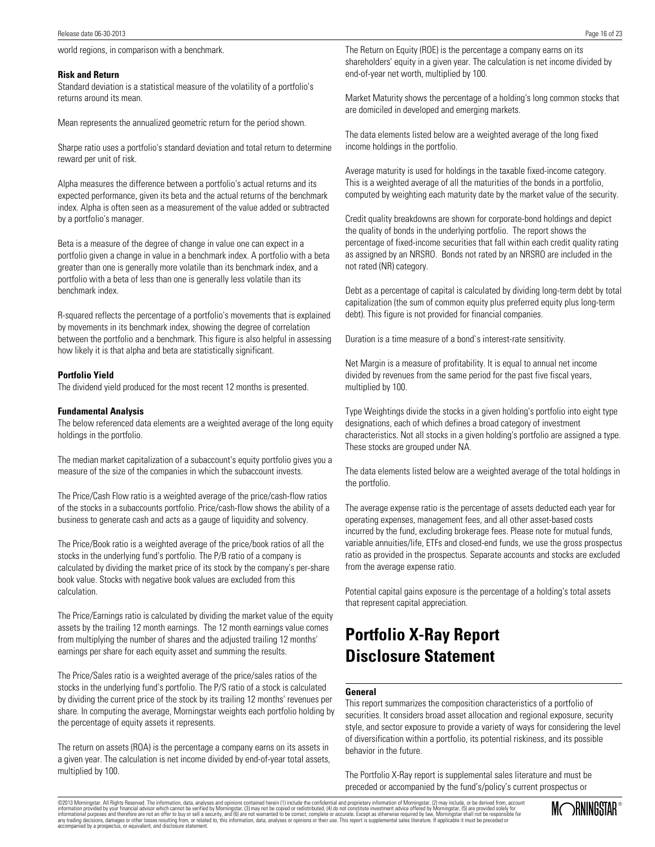#### **Risk and Return**

Standard deviation is a statistical measure of the volatility of a portfolio's returns around its mean.

Mean represents the annualized geometric return for the period shown.

Sharpe ratio uses a portfolio's standard deviation and total return to determine reward per unit of risk.

Alpha measures the difference between a portfolio's actual returns and its expected performance, given its beta and the actual returns of the benchmark index. Alpha is often seen as a measurement of the value added or subtracted by a portfolio's manager.

Beta is a measure of the degree of change in value one can expect in a portfolio given a change in value in a benchmark index. A portfolio with a beta greater than one is generally more volatile than its benchmark index, and a portfolio with a beta of less than one is generally less volatile than its benchmark index.

R-squared reflects the percentage of a portfolio's movements that is explained by movements in its benchmark index, showing the degree of correlation between the portfolio and a benchmark. This figure is also helpful in assessing how likely it is that alpha and beta are statistically significant.

#### **Portfolio Yield**

The dividend yield produced for the most recent 12 months is presented.

#### **Fundamental Analysis**

The below referenced data elements are a weighted average of the long equity holdings in the portfolio.

The median market capitalization of a subaccount's equity portfolio gives you a measure of the size of the companies in which the subaccount invests.

The Price/Cash Flow ratio is a weighted average of the price/cash-flow ratios of the stocks in a subaccounts portfolio. Price/cash-flow shows the ability of a business to generate cash and acts as a gauge of liquidity and solvency.

The Price/Book ratio is a weighted average of the price/book ratios of all the stocks in the underlying fund's portfolio. The P/B ratio of a company is calculated by dividing the market price of its stock by the company's per-share book value. Stocks with negative book values are excluded from this calculation.

The Price/Earnings ratio is calculated by dividing the market value of the equity assets by the trailing 12 month earnings. The 12 month earnings value comes from multiplying the number of shares and the adjusted trailing 12 months' earnings per share for each equity asset and summing the results.

The Price/Sales ratio is a weighted average of the price/sales ratios of the stocks in the underlying fund's portfolio. The P/S ratio of a stock is calculated by dividing the current price of the stock by its trailing 12 months' revenues per share. In computing the average, Morningstar weights each portfolio holding by the percentage of equity assets it represents.

The return on assets (ROA) is the percentage a company earns on its assets in a given year. The calculation is net income divided by end-of-year total assets, multiplied by 100.

The Return on Equity (ROE) is the percentage a company earns on its shareholders' equity in a given year. The calculation is net income divided by end-of-year net worth, multiplied by 100.

Market Maturity shows the percentage of a holding's long common stocks that are domiciled in developed and emerging markets.

The data elements listed below are a weighted average of the long fixed income holdings in the portfolio.

Average maturity is used for holdings in the taxable fixed-income category. This is a weighted average of all the maturities of the bonds in a portfolio, computed by weighting each maturity date by the market value of the security.

Credit quality breakdowns are shown for corporate-bond holdings and depict the quality of bonds in the underlying portfolio. The report shows the percentage of fixed-income securities that fall within each credit quality rating as assigned by an NRSRO. Bonds not rated by an NRSRO are included in the not rated (NR) category.

Debt as a percentage of capital is calculated by dividing long-term debt by total capitalization (the sum of common equity plus preferred equity plus long-term debt). This figure is not provided for financial companies.

Duration is a time measure of a bond`s interest-rate sensitivity.

Net Margin is a measure of profitability. It is equal to annual net income divided by revenues from the same period for the past five fiscal years, multiplied by 100.

Type Weightings divide the stocks in a given holding's portfolio into eight type designations, each of which defines a broad category of investment characteristics. Not all stocks in a given holding's portfolio are assigned a type. These stocks are grouped under NA.

The data elements listed below are a weighted average of the total holdings in the portfolio.

The average expense ratio is the percentage of assets deducted each year for operating expenses, management fees, and all other asset-based costs incurred by the fund, excluding brokerage fees. Please note for mutual funds, variable annuities/life, ETFs and closed-end funds, we use the gross prospectus ratio as provided in the prospectus. Separate accounts and stocks are excluded from the average expense ratio.

Potential capital gains exposure is the percentage of a holding's total assets that represent capital appreciation.

# **Portfolio X-Ray Report Disclosure Statement**

#### **General**

This report summarizes the composition characteristics of a portfolio of securities. It considers broad asset allocation and regional exposure, security style, and sector exposure to provide a variety of ways for considering the level of diversification within a portfolio, its potential riskiness, and its possible behavior in the future.

The Portfolio X-Ray report is supplemental sales literature and must be preceded or accompanied by the fund's/policy's current prospectus or

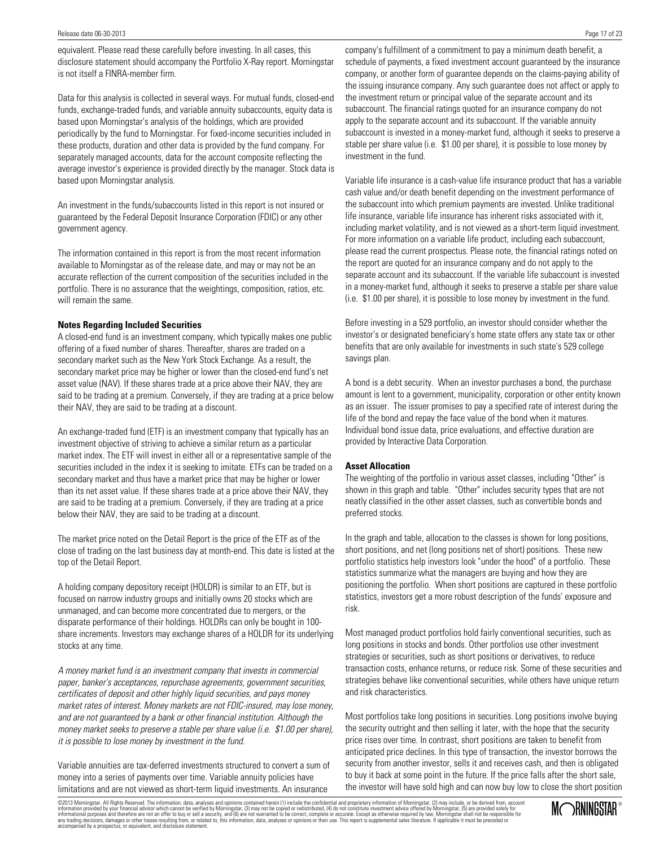equivalent. Please read these carefully before investing. In all cases, this disclosure statement should accompany the Portfolio X-Ray report. Morningstar is not itself a FINRA-member firm.

Data for this analysis is collected in several ways. For mutual funds, closed-end funds, exchange-traded funds, and variable annuity subaccounts, equity data is based upon Morningstar's analysis of the holdings, which are provided periodically by the fund to Morningstar. For fixed-income securities included in these products, duration and other data is provided by the fund company. For separately managed accounts, data for the account composite reflecting the average investor's experience is provided directly by the manager. Stock data is based upon Morningstar analysis.

An investment in the funds/subaccounts listed in this report is not insured or guaranteed by the Federal Deposit Insurance Corporation (FDIC) or any other government agency.

The information contained in this report is from the most recent information available to Morningstar as of the release date, and may or may not be an accurate reflection of the current composition of the securities included in the portfolio. There is no assurance that the weightings, composition, ratios, etc. will remain the same.

#### **Notes Regarding Included Securities**

A closed-end fund is an investment company, which typically makes one public offering of a fixed number of shares. Thereafter, shares are traded on a secondary market such as the New York Stock Exchange. As a result, the secondary market price may be higher or lower than the closed-end fund's net asset value (NAV). If these shares trade at a price above their NAV, they are said to be trading at a premium. Conversely, if they are trading at a price below their NAV, they are said to be trading at a discount.

An exchange-traded fund (ETF) is an investment company that typically has an investment objective of striving to achieve a similar return as a particular market index. The ETF will invest in either all or a representative sample of the securities included in the index it is seeking to imitate. ETFs can be traded on a secondary market and thus have a market price that may be higher or lower than its net asset value. If these shares trade at a price above their NAV, they are said to be trading at a premium. Conversely, if they are trading at a price below their NAV, they are said to be trading at a discount.

The market price noted on the Detail Report is the price of the ETF as of the close of trading on the last business day at month-end. This date is listed at the top of the Detail Report.

A holding company depository receipt (HOLDR) is similar to an ETF, but is focused on narrow industry groups and initially owns 20 stocks which are unmanaged, and can become more concentrated due to mergers, or the disparate performance of their holdings. HOLDRs can only be bought in 100 share increments. Investors may exchange shares of a HOLDR for its underlying stocks at any time.

A money market fund is an investment company that invests in commercial paper, banker's acceptances, repurchase agreements, government securities, certificates of deposit and other highly liquid securities, and pays money market rates of interest. Money markets are not FDIC-insured, may lose money, and are not guaranteed by a bank or other financial institution. Although the money market seeks to preserve a stable per share value (i.e. \$1.00 per share), it is possible to lose money by investment in the fund.

Variable annuities are tax-deferred investments structured to convert a sum of money into a series of payments over time. Variable annuity policies have limitations and are not viewed as short-term liquid investments. An insurance

company's fulfillment of a commitment to pay a minimum death benefit, a schedule of payments, a fixed investment account guaranteed by the insurance company, or another form of guarantee depends on the claims-paying ability of the issuing insurance company. Any such guarantee does not affect or apply to the investment return or principal value of the separate account and its subaccount. The financial ratings quoted for an insurance company do not apply to the separate account and its subaccount. If the variable annuity subaccount is invested in a money-market fund, although it seeks to preserve a stable per share value (i.e. \$1.00 per share), it is possible to lose money by investment in the fund.

Variable life insurance is a cash-value life insurance product that has a variable cash value and/or death benefit depending on the investment performance of the subaccount into which premium payments are invested. Unlike traditional life insurance, variable life insurance has inherent risks associated with it, including market volatility, and is not viewed as a short-term liquid investment. For more information on a variable life product, including each subaccount, please read the current prospectus. Please note, the financial ratings noted on the report are quoted for an insurance company and do not apply to the separate account and its subaccount. If the variable life subaccount is invested in a money-market fund, although it seeks to preserve a stable per share value (i.e. \$1.00 per share), it is possible to lose money by investment in the fund.

Before investing in a 529 portfolio, an investor should consider whether the investor's or designated beneficiary's home state offers any state tax or other benefits that are only available for investments in such state's 529 college savings plan.

A bond is a debt security. When an investor purchases a bond, the purchase amount is lent to a government, municipality, corporation or other entity known as an issuer. The issuer promises to pay a specified rate of interest during the life of the bond and repay the face value of the bond when it matures. Individual bond issue data, price evaluations, and effective duration are provided by Interactive Data Corporation.

#### **Asset Allocation**

The weighting of the portfolio in various asset classes, including "Other" is shown in this graph and table. "Other" includes security types that are not neatly classified in the other asset classes, such as convertible bonds and preferred stocks.

In the graph and table, allocation to the classes is shown for long positions, short positions, and net (long positions net of short) positions. These new portfolio statistics help investors look "under the hood" of a portfolio. These statistics summarize what the managers are buying and how they are positioning the portfolio. When short positions are captured in these portfolio statistics, investors get a more robust description of the funds' exposure and risk.

Most managed product portfolios hold fairly conventional securities, such as long positions in stocks and bonds. Other portfolios use other investment strategies or securities, such as short positions or derivatives, to reduce transaction costs, enhance returns, or reduce risk. Some of these securities and strategies behave like conventional securities, while others have unique return and risk characteristics.

Most portfolios take long positions in securities. Long positions involve buying the security outright and then selling it later, with the hope that the security price rises over time. In contrast, short positions are taken to benefit from anticipated price declines. In this type of transaction, the investor borrows the security from another investor, sells it and receives cash, and then is obligated to buy it back at some point in the future. If the price falls after the short sale, the investor will have sold high and can now buy low to close the short position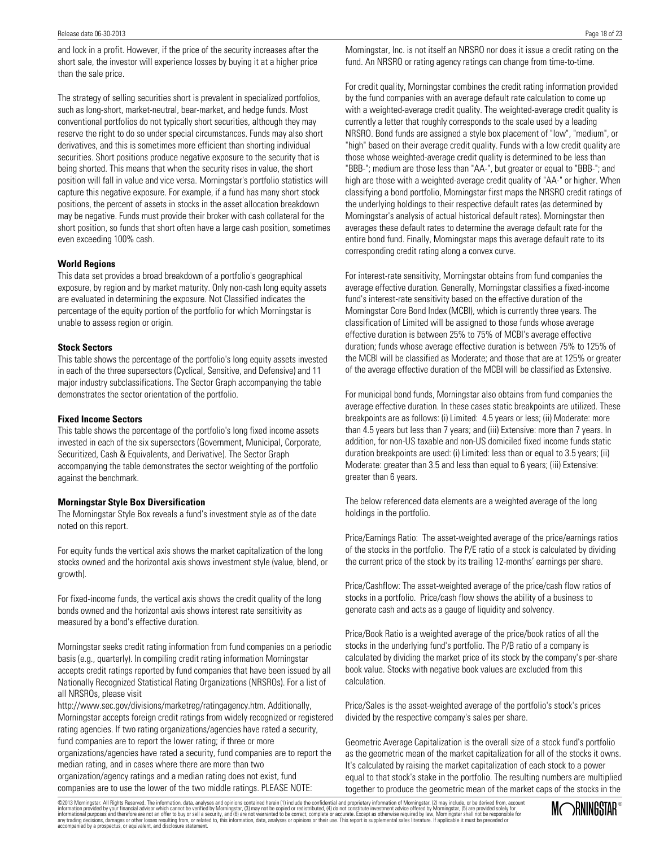and lock in a profit. However, if the price of the security increases after the short sale, the investor will experience losses by buying it at a higher price than the sale price.

The strategy of selling securities short is prevalent in specialized portfolios, such as long-short, market-neutral, bear-market, and hedge funds. Most conventional portfolios do not typically short securities, although they may reserve the right to do so under special circumstances. Funds may also short derivatives, and this is sometimes more efficient than shorting individual securities. Short positions produce negative exposure to the security that is being shorted. This means that when the security rises in value, the short position will fall in value and vice versa. Morningstar's portfolio statistics will capture this negative exposure. For example, if a fund has many short stock positions, the percent of assets in stocks in the asset allocation breakdown may be negative. Funds must provide their broker with cash collateral for the short position, so funds that short often have a large cash position, sometimes even exceeding 100% cash.

#### **World Regions**

This data set provides a broad breakdown of a portfolio's geographical exposure, by region and by market maturity. Only non-cash long equity assets are evaluated in determining the exposure. Not Classified indicates the percentage of the equity portion of the portfolio for which Morningstar is unable to assess region or origin.

#### **Stock Sectors**

This table shows the percentage of the portfolio's long equity assets invested in each of the three supersectors (Cyclical, Sensitive, and Defensive) and 11 major industry subclassifications. The Sector Graph accompanying the table demonstrates the sector orientation of the portfolio.

#### **Fixed Income Sectors**

This table shows the percentage of the portfolio's long fixed income assets invested in each of the six supersectors (Government, Municipal, Corporate, Securitized, Cash & Equivalents, and Derivative). The Sector Graph accompanying the table demonstrates the sector weighting of the portfolio against the benchmark.

#### **Morningstar Style Box Diversification**

The Morningstar Style Box reveals a fund's investment style as of the date noted on this report.

For equity funds the vertical axis shows the market capitalization of the long stocks owned and the horizontal axis shows investment style (value, blend, or growth).

For fixed-income funds, the vertical axis shows the credit quality of the long bonds owned and the horizontal axis shows interest rate sensitivity as measured by a bond's effective duration.

Morningstar seeks credit rating information from fund companies on a periodic basis (e.g., quarterly). In compiling credit rating information Morningstar accepts credit ratings reported by fund companies that have been issued by all Nationally Recognized Statistical Rating Organizations (NRSROs). For a list of all NRSROs, please visit

http://www.sec.gov/divisions/marketreg/ratingagency.htm. Additionally, Morningstar accepts foreign credit ratings from widely recognized or registered rating agencies. If two rating organizations/agencies have rated a security, fund companies are to report the lower rating; if three or more organizations/agencies have rated a security, fund companies are to report the median rating, and in cases where there are more than two

organization/agency ratings and a median rating does not exist, fund companies are to use the lower of the two middle ratings. PLEASE NOTE: Morningstar, Inc. is not itself an NRSRO nor does it issue a credit rating on the fund. An NRSRO or rating agency ratings can change from time-to-time.

For credit quality, Morningstar combines the credit rating information provided by the fund companies with an average default rate calculation to come up with a weighted-average credit quality. The weighted-average credit quality is currently a letter that roughly corresponds to the scale used by a leading NRSRO. Bond funds are assigned a style box placement of "low", "medium", or "high" based on their average credit quality. Funds with a low credit quality are those whose weighted-average credit quality is determined to be less than "BBB-"; medium are those less than "AA-", but greater or equal to "BBB-"; and high are those with a weighted-average credit quality of "AA-" or higher. When classifying a bond portfolio, Morningstar first maps the NRSRO credit ratings of the underlying holdings to their respective default rates (as determined by Morningstar's analysis of actual historical default rates). Morningstar then averages these default rates to determine the average default rate for the entire bond fund. Finally, Morningstar maps this average default rate to its corresponding credit rating along a convex curve.

For interest-rate sensitivity, Morningstar obtains from fund companies the average effective duration. Generally, Morningstar classifies a fixed-income fund's interest-rate sensitivity based on the effective duration of the Morningstar Core Bond Index (MCBI), which is currently three years. The classification of Limited will be assigned to those funds whose average effective duration is between 25% to 75% of MCBI's average effective duration; funds whose average effective duration is between 75% to 125% of the MCBI will be classified as Moderate; and those that are at 125% or greater of the average effective duration of the MCBI will be classified as Extensive.

For municipal bond funds, Morningstar also obtains from fund companies the average effective duration. In these cases static breakpoints are utilized. These breakpoints are as follows: (i) Limited: 4.5 years or less; (ii) Moderate: more than 4.5 years but less than 7 years; and (iii) Extensive: more than 7 years. In addition, for non-US taxable and non-US domiciled fixed income funds static duration breakpoints are used: (i) Limited: less than or equal to 3.5 years; (ii) Moderate: greater than 3.5 and less than equal to 6 years; (iii) Extensive: greater than 6 years.

The below referenced data elements are a weighted average of the long holdings in the portfolio.

Price/Earnings Ratio: The asset-weighted average of the price/earnings ratios of the stocks in the portfolio. The P/E ratio of a stock is calculated by dividing the current price of the stock by its trailing 12-months' earnings per share.

Price/Cashflow: The asset-weighted average of the price/cash flow ratios of stocks in a portfolio. Price/cash flow shows the ability of a business to generate cash and acts as a gauge of liquidity and solvency.

Price/Book Ratio is a weighted average of the price/book ratios of all the stocks in the underlying fund's portfolio. The P/B ratio of a company is calculated by dividing the market price of its stock by the company's per-share book value. Stocks with negative book values are excluded from this calculation.

Price/Sales is the asset-weighted average of the portfolio's stock's prices divided by the respective company's sales per share.

Geometric Average Capitalization is the overall size of a stock fund's portfolio as the geometric mean of the market capitalization for all of the stocks it owns. It's calculated by raising the market capitalization of each stock to a power equal to that stock's stake in the portfolio. The resulting numbers are multiplied together to produce the geometric mean of the market caps of the stocks in the

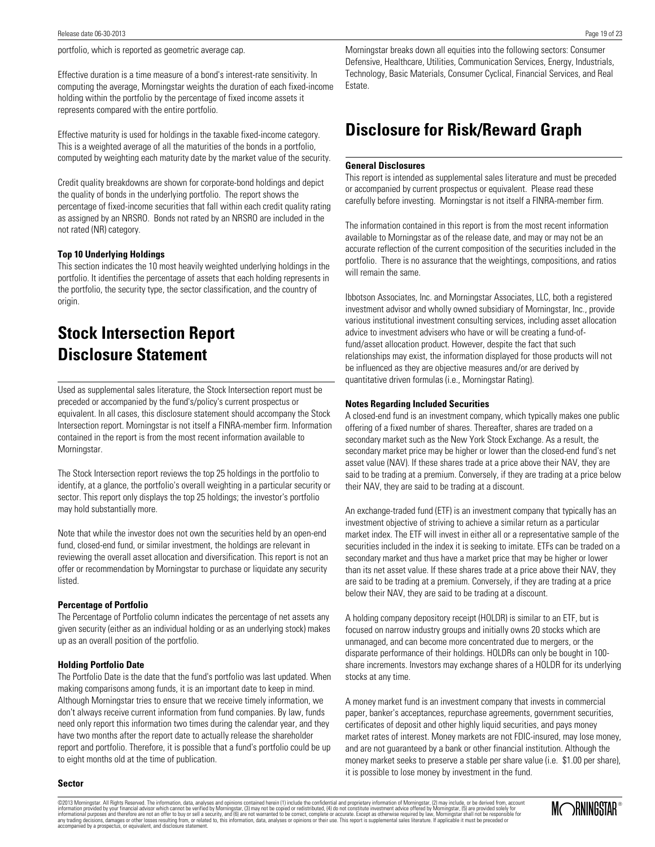portfolio, which is reported as geometric average cap.

Effective duration is a time measure of a bond's interest-rate sensitivity. In computing the average, Morningstar weights the duration of each fixed-income holding within the portfolio by the percentage of fixed income assets it represents compared with the entire portfolio.

Effective maturity is used for holdings in the taxable fixed-income category. This is a weighted average of all the maturities of the bonds in a portfolio, computed by weighting each maturity date by the market value of the security.

Credit quality breakdowns are shown for corporate-bond holdings and depict the quality of bonds in the underlying portfolio. The report shows the percentage of fixed-income securities that fall within each credit quality rating as assigned by an NRSRO. Bonds not rated by an NRSRO are included in the not rated (NR) category.

#### **Top 10 Underlying Holdings**

This section indicates the 10 most heavily weighted underlying holdings in the portfolio. It identifies the percentage of assets that each holding represents in the portfolio, the security type, the sector classification, and the country of origin.

# **Stock Intersection Report Disclosure Statement**

Used as supplemental sales literature, the Stock Intersection report must be preceded or accompanied by the fund's/policy's current prospectus or equivalent. In all cases, this disclosure statement should accompany the Stock Intersection report. Morningstar is not itself a FINRA-member firm. Information contained in the report is from the most recent information available to Morningstar.

The Stock Intersection report reviews the top 25 holdings in the portfolio to identify, at a glance, the portfolio's overall weighting in a particular security or sector. This report only displays the top 25 holdings; the investor's portfolio may hold substantially more.

Note that while the investor does not own the securities held by an open-end fund, closed-end fund, or similar investment, the holdings are relevant in reviewing the overall asset allocation and diversification. This report is not an offer or recommendation by Morningstar to purchase or liquidate any security listed.

#### **Percentage of Portfolio**

The Percentage of Portfolio column indicates the percentage of net assets any given security (either as an individual holding or as an underlying stock) makes up as an overall position of the portfolio.

#### **Holding Portfolio Date**

The Portfolio Date is the date that the fund's portfolio was last updated. When making comparisons among funds, it is an important date to keep in mind. Although Morningstar tries to ensure that we receive timely information, we don't always receive current information from fund companies. By law, funds need only report this information two times during the calendar year, and they have two months after the report date to actually release the shareholder report and portfolio. Therefore, it is possible that a fund's portfolio could be up to eight months old at the time of publication.

Morningstar breaks down all equities into the following sectors: Consumer Defensive, Healthcare, Utilities, Communication Services, Energy, Industrials, Technology, Basic Materials, Consumer Cyclical, Financial Services, and Real Estate.

## **Disclosure for Risk/Reward Graph**

#### **General Disclosures**

This report is intended as supplemental sales literature and must be preceded or accompanied by current prospectus or equivalent. Please read these carefully before investing. Morningstar is not itself a FINRA-member firm.

The information contained in this report is from the most recent information available to Morningstar as of the release date, and may or may not be an accurate reflection of the current composition of the securities included in the portfolio. There is no assurance that the weightings, compositions, and ratios will remain the same.

Ibbotson Associates, Inc. and Morningstar Associates, LLC, both a registered investment advisor and wholly owned subsidiary of Morningstar, Inc., provide various institutional investment consulting services, including asset allocation advice to investment advisers who have or will be creating a fund-offund/asset allocation product. However, despite the fact that such relationships may exist, the information displayed for those products will not be influenced as they are objective measures and/or are derived by quantitative driven formulas (i.e., Morningstar Rating).

#### **Notes Regarding Included Securities**

A closed-end fund is an investment company, which typically makes one public offering of a fixed number of shares. Thereafter, shares are traded on a secondary market such as the New York Stock Exchange. As a result, the secondary market price may be higher or lower than the closed-end fund's net asset value (NAV). If these shares trade at a price above their NAV, they are said to be trading at a premium. Conversely, if they are trading at a price below their NAV, they are said to be trading at a discount.

An exchange-traded fund (ETF) is an investment company that typically has an investment objective of striving to achieve a similar return as a particular market index. The ETF will invest in either all or a representative sample of the securities included in the index it is seeking to imitate. ETFs can be traded on a secondary market and thus have a market price that may be higher or lower than its net asset value. If these shares trade at a price above their NAV, they are said to be trading at a premium. Conversely, if they are trading at a price below their NAV, they are said to be trading at a discount.

A holding company depository receipt (HOLDR) is similar to an ETF, but is focused on narrow industry groups and initially owns 20 stocks which are unmanaged, and can become more concentrated due to mergers, or the disparate performance of their holdings. HOLDRs can only be bought in 100 share increments. Investors may exchange shares of a HOLDR for its underlying stocks at any time.

A money market fund is an investment company that invests in commercial paper, banker's acceptances, repurchase agreements, government securities, certificates of deposit and other highly liquid securities, and pays money market rates of interest. Money markets are not FDIC-insured, may lose money, and are not guaranteed by a bank or other financial institution. Although the money market seeks to preserve a stable per share value (i.e. \$1.00 per share), it is possible to lose money by investment in the fund.

#### **Sector**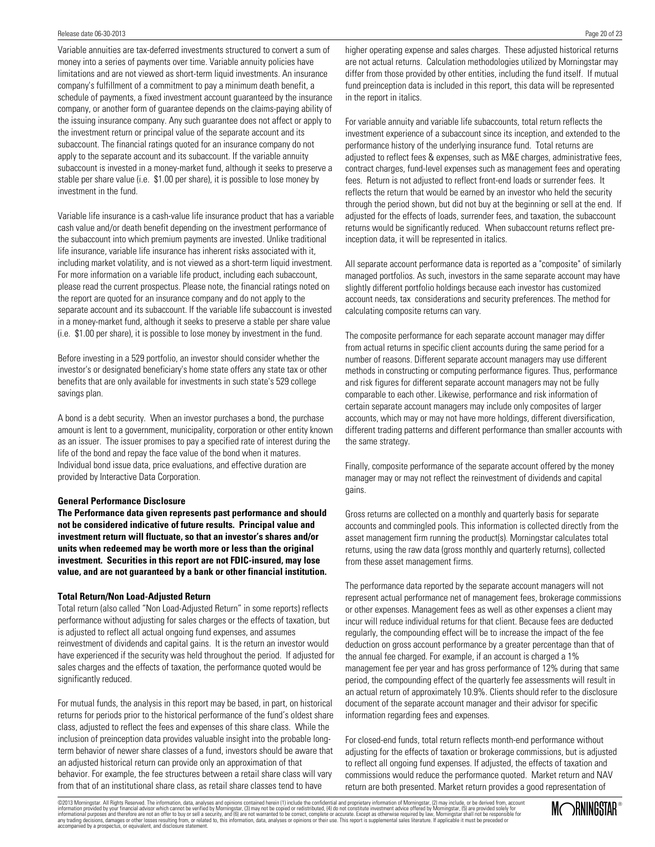Variable annuities are tax-deferred investments structured to convert a sum of money into a series of payments over time. Variable annuity policies have limitations and are not viewed as short-term liquid investments. An insurance company's fulfillment of a commitment to pay a minimum death benefit, a schedule of payments, a fixed investment account guaranteed by the insurance company, or another form of guarantee depends on the claims-paying ability of the issuing insurance company. Any such guarantee does not affect or apply to the investment return or principal value of the separate account and its subaccount. The financial ratings quoted for an insurance company do not apply to the separate account and its subaccount. If the variable annuity subaccount is invested in a money-market fund, although it seeks to preserve a stable per share value (i.e. \$1.00 per share), it is possible to lose money by investment in the fund.

Variable life insurance is a cash-value life insurance product that has a variable cash value and/or death benefit depending on the investment performance of the subaccount into which premium payments are invested. Unlike traditional life insurance, variable life insurance has inherent risks associated with it, including market volatility, and is not viewed as a short-term liquid investment. For more information on a variable life product, including each subaccount, please read the current prospectus. Please note, the financial ratings noted on the report are quoted for an insurance company and do not apply to the separate account and its subaccount. If the variable life subaccount is invested in a money-market fund, although it seeks to preserve a stable per share value (i.e. \$1.00 per share), it is possible to lose money by investment in the fund.

Before investing in a 529 portfolio, an investor should consider whether the investor's or designated beneficiary's home state offers any state tax or other benefits that are only available for investments in such state's 529 college savings plan.

A bond is a debt security. When an investor purchases a bond, the purchase amount is lent to a government, municipality, corporation or other entity known as an issuer. The issuer promises to pay a specified rate of interest during the life of the bond and repay the face value of the bond when it matures. Individual bond issue data, price evaluations, and effective duration are provided by Interactive Data Corporation.

#### **General Performance Disclosure**

**The Performance data given represents past performance and should not be considered indicative of future results. Principal value and investment return will fluctuate, so that an investor's shares and/or units when redeemed may be worth more or less than the original investment. Securities in this report are not FDIC-insured, may lose value, and are not guaranteed by a bank or other financial institution.**

#### **Total Return/Non Load-Adjusted Return**

Total return (also called "Non Load-Adjusted Return" in some reports) reflects performance without adjusting for sales charges or the effects of taxation, but is adjusted to reflect all actual ongoing fund expenses, and assumes reinvestment of dividends and capital gains. It is the return an investor would have experienced if the security was held throughout the period. If adjusted for sales charges and the effects of taxation, the performance quoted would be significantly reduced.

For mutual funds, the analysis in this report may be based, in part, on historical returns for periods prior to the historical performance of the fund's oldest share class, adjusted to reflect the fees and expenses of this share class. While the inclusion of preinception data provides valuable insight into the probable longterm behavior of newer share classes of a fund, investors should be aware that an adjusted historical return can provide only an approximation of that behavior. For example, the fee structures between a retail share class will vary from that of an institutional share class, as retail share classes tend to have

higher operating expense and sales charges. These adjusted historical returns are not actual returns. Calculation methodologies utilized by Morningstar may differ from those provided by other entities, including the fund itself. If mutual fund preinception data is included in this report, this data will be represented in the report in italics.

For variable annuity and variable life subaccounts, total return reflects the investment experience of a subaccount since its inception, and extended to the performance history of the underlying insurance fund. Total returns are adjusted to reflect fees & expenses, such as M&E charges, administrative fees, contract charges, fund-level expenses such as management fees and operating fees. Return is not adjusted to reflect front-end loads or surrender fees. It reflects the return that would be earned by an investor who held the security through the period shown, but did not buy at the beginning or sell at the end. If adjusted for the effects of loads, surrender fees, and taxation, the subaccount returns would be significantly reduced. When subaccount returns reflect preinception data, it will be represented in italics.

All separate account performance data is reported as a "composite" of similarly managed portfolios. As such, investors in the same separate account may have slightly different portfolio holdings because each investor has customized account needs, tax considerations and security preferences. The method for calculating composite returns can vary.

The composite performance for each separate account manager may differ from actual returns in specific client accounts during the same period for a number of reasons. Different separate account managers may use different methods in constructing or computing performance figures. Thus, performance and risk figures for different separate account managers may not be fully comparable to each other. Likewise, performance and risk information of certain separate account managers may include only composites of larger accounts, which may or may not have more holdings, different diversification, different trading patterns and different performance than smaller accounts with the same strategy.

Finally, composite performance of the separate account offered by the money manager may or may not reflect the reinvestment of dividends and capital gains.

Gross returns are collected on a monthly and quarterly basis for separate accounts and commingled pools. This information is collected directly from the asset management firm running the product(s). Morningstar calculates total returns, using the raw data (gross monthly and quarterly returns), collected from these asset management firms.

The performance data reported by the separate account managers will not represent actual performance net of management fees, brokerage commissions or other expenses. Management fees as well as other expenses a client may incur will reduce individual returns for that client. Because fees are deducted regularly, the compounding effect will be to increase the impact of the fee deduction on gross account performance by a greater percentage than that of the annual fee charged. For example, if an account is charged a 1% management fee per year and has gross performance of 12% during that same period, the compounding effect of the quarterly fee assessments will result in an actual return of approximately 10.9%. Clients should refer to the disclosure document of the separate account manager and their advisor for specific information regarding fees and expenses.

For closed-end funds, total return reflects month-end performance without adjusting for the effects of taxation or brokerage commissions, but is adjusted to reflect all ongoing fund expenses. If adjusted, the effects of taxation and commissions would reduce the performance quoted. Market return and NAV return are both presented. Market return provides a good representation of

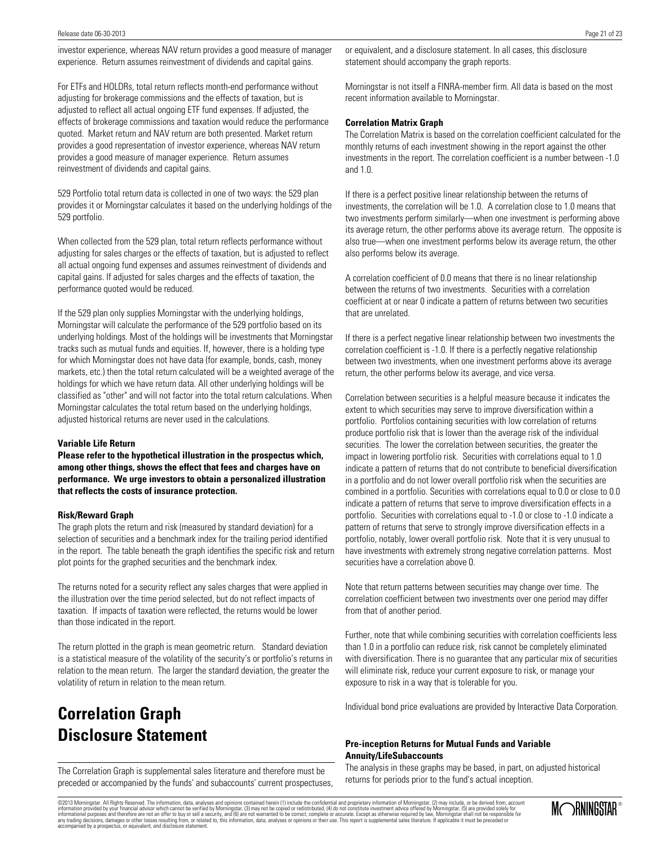investor experience, whereas NAV return provides a good measure of manager experience. Return assumes reinvestment of dividends and capital gains.

For ETFs and HOLDRs, total return reflects month-end performance without adjusting for brokerage commissions and the effects of taxation, but is adjusted to reflect all actual ongoing ETF fund expenses. If adjusted, the effects of brokerage commissions and taxation would reduce the performance quoted. Market return and NAV return are both presented. Market return provides a good representation of investor experience, whereas NAV return provides a good measure of manager experience. Return assumes reinvestment of dividends and capital gains.

529 Portfolio total return data is collected in one of two ways: the 529 plan provides it or Morningstar calculates it based on the underlying holdings of the 529 portfolio.

When collected from the 529 plan, total return reflects performance without adjusting for sales charges or the effects of taxation, but is adjusted to reflect all actual ongoing fund expenses and assumes reinvestment of dividends and capital gains. If adjusted for sales charges and the effects of taxation, the performance quoted would be reduced.

If the 529 plan only supplies Morningstar with the underlying holdings, Morningstar will calculate the performance of the 529 portfolio based on its underlying holdings. Most of the holdings will be investments that Morningstar tracks such as mutual funds and equities. If, however, there is a holding type for which Morningstar does not have data (for example, bonds, cash, money markets, etc.) then the total return calculated will be a weighted average of the holdings for which we have return data. All other underlying holdings will be classified as "other" and will not factor into the total return calculations. When Morningstar calculates the total return based on the underlying holdings, adjusted historical returns are never used in the calculations.

#### **Variable Life Return**

**Please refer to the hypothetical illustration in the prospectus which, among other things, shows the effect that fees and charges have on performance. We urge investors to obtain a personalized illustration that reflects the costs of insurance protection.**

#### **Risk/Reward Graph**

The graph plots the return and risk (measured by standard deviation) for a selection of securities and a benchmark index for the trailing period identified in the report. The table beneath the graph identifies the specific risk and return plot points for the graphed securities and the benchmark index.

The returns noted for a security reflect any sales charges that were applied in the illustration over the time period selected, but do not reflect impacts of taxation. If impacts of taxation were reflected, the returns would be lower than those indicated in the report.

The return plotted in the graph is mean geometric return. Standard deviation is a statistical measure of the volatility of the security's or portfolio's returns in relation to the mean return. The larger the standard deviation, the greater the volatility of return in relation to the mean return.

# **Correlation Graph Disclosure Statement**

The Correlation Graph is supplemental sales literature and therefore must be preceded or accompanied by the funds' and subaccounts' current prospectuses, or equivalent, and a disclosure statement. In all cases, this disclosure statement should accompany the graph reports.

Morningstar is not itself a FINRA-member firm. All data is based on the most recent information available to Morningstar.

#### **Correlation Matrix Graph**

The Correlation Matrix is based on the correlation coefficient calculated for the monthly returns of each investment showing in the report against the other investments in the report. The correlation coefficient is a number between -1.0 and 1.0.

If there is a perfect positive linear relationship between the returns of investments, the correlation will be 1.0. A correlation close to 1.0 means that two investments perform similarly—when one investment is performing above its average return, the other performs above its average return. The opposite is also true—when one investment performs below its average return, the other also performs below its average.

A correlation coefficient of 0.0 means that there is no linear relationship between the returns of two investments. Securities with a correlation coefficient at or near 0 indicate a pattern of returns between two securities that are unrelated.

If there is a perfect negative linear relationship between two investments the correlation coefficient is -1.0. If there is a perfectly negative relationship between two investments, when one investment performs above its average return, the other performs below its average, and vice versa.

Correlation between securities is a helpful measure because it indicates the extent to which securities may serve to improve diversification within a portfolio. Portfolios containing securities with low correlation of returns produce portfolio risk that is lower than the average risk of the individual securities. The lower the correlation between securities, the greater the impact in lowering portfolio risk. Securities with correlations equal to 1.0 indicate a pattern of returns that do not contribute to beneficial diversification in a portfolio and do not lower overall portfolio risk when the securities are combined in a portfolio. Securities with correlations equal to 0.0 or close to 0.0 indicate a pattern of returns that serve to improve diversification effects in a portfolio. Securities with correlations equal to -1.0 or close to -1.0 indicate a pattern of returns that serve to strongly improve diversification effects in a portfolio, notably, lower overall portfolio risk. Note that it is very unusual to have investments with extremely strong negative correlation patterns. Most securities have a correlation above 0.

Note that return patterns between securities may change over time. The correlation coefficient between two investments over one period may differ from that of another period.

Further, note that while combining securities with correlation coefficients less than 1.0 in a portfolio can reduce risk, risk cannot be completely eliminated with diversification. There is no guarantee that any particular mix of securities will eliminate risk, reduce your current exposure to risk, or manage your exposure to risk in a way that is tolerable for you.

Individual bond price evaluations are provided by Interactive Data Corporation.

#### **Pre-inception Returns for Mutual Funds and Variable Annuity/LifeSubaccounts**

The analysis in these graphs may be based, in part, on adjusted historical returns for periods prior to the fund's actual inception.

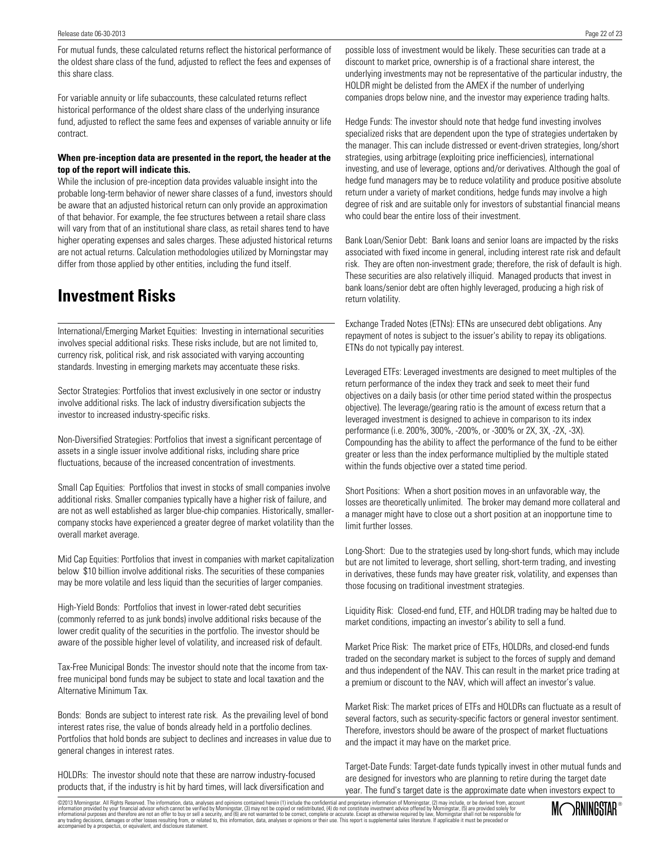For mutual funds, these calculated returns reflect the historical performance of the oldest share class of the fund, adjusted to reflect the fees and expenses of this share class.

For variable annuity or life subaccounts, these calculated returns reflect historical performance of the oldest share class of the underlying insurance fund, adjusted to reflect the same fees and expenses of variable annuity or life contract.

### **When pre-inception data are presented in the report, the header at the top of the report will indicate this.**

While the inclusion of pre-inception data provides valuable insight into the probable long-term behavior of newer share classes of a fund, investors should be aware that an adjusted historical return can only provide an approximation of that behavior. For example, the fee structures between a retail share class will vary from that of an institutional share class, as retail shares tend to have higher operating expenses and sales charges. These adjusted historical returns are not actual returns. Calculation methodologies utilized by Morningstar may differ from those applied by other entities, including the fund itself.

# **Investment Risks**

International/Emerging Market Equities: Investing in international securities involves special additional risks. These risks include, but are not limited to, currency risk, political risk, and risk associated with varying accounting standards. Investing in emerging markets may accentuate these risks.

Sector Strategies: Portfolios that invest exclusively in one sector or industry involve additional risks. The lack of industry diversification subjects the investor to increased industry-specific risks.

Non-Diversified Strategies: Portfolios that invest a significant percentage of assets in a single issuer involve additional risks, including share price fluctuations, because of the increased concentration of investments.

Small Cap Equities: Portfolios that invest in stocks of small companies involve additional risks. Smaller companies typically have a higher risk of failure, and are not as well established as larger blue-chip companies. Historically, smallercompany stocks have experienced a greater degree of market volatility than the overall market average.

Mid Cap Equities: Portfolios that invest in companies with market capitalization below \$10 billion involve additional risks. The securities of these companies may be more volatile and less liquid than the securities of larger companies.

High-Yield Bonds: Portfolios that invest in lower-rated debt securities (commonly referred to as junk bonds) involve additional risks because of the lower credit quality of the securities in the portfolio. The investor should be aware of the possible higher level of volatility, and increased risk of default.

Tax-Free Municipal Bonds: The investor should note that the income from taxfree municipal bond funds may be subject to state and local taxation and the Alternative Minimum Tax.

Bonds: Bonds are subject to interest rate risk. As the prevailing level of bond interest rates rise, the value of bonds already held in a portfolio declines. Portfolios that hold bonds are subject to declines and increases in value due to general changes in interest rates.

HOLDRs: The investor should note that these are narrow industry-focused products that, if the industry is hit by hard times, will lack diversification and possible loss of investment would be likely. These securities can trade at a discount to market price, ownership is of a fractional share interest, the underlying investments may not be representative of the particular industry, the HOLDR might be delisted from the AMEX if the number of underlying companies drops below nine, and the investor may experience trading halts.

Hedge Funds: The investor should note that hedge fund investing involves specialized risks that are dependent upon the type of strategies undertaken by the manager. This can include distressed or event-driven strategies, long/short strategies, using arbitrage (exploiting price inefficiencies), international investing, and use of leverage, options and/or derivatives. Although the goal of hedge fund managers may be to reduce volatility and produce positive absolute return under a variety of market conditions, hedge funds may involve a high degree of risk and are suitable only for investors of substantial financial means who could bear the entire loss of their investment.

Bank Loan/Senior Debt: Bank loans and senior loans are impacted by the risks associated with fixed income in general, including interest rate risk and default risk. They are often non-investment grade; therefore, the risk of default is high. These securities are also relatively illiquid. Managed products that invest in bank loans/senior debt are often highly leveraged, producing a high risk of return volatility.

Exchange Traded Notes (ETNs): ETNs are unsecured debt obligations. Any repayment of notes is subject to the issuer's ability to repay its obligations. ETNs do not typically pay interest.

Leveraged ETFs: Leveraged investments are designed to meet multiples of the return performance of the index they track and seek to meet their fund objectives on a daily basis (or other time period stated within the prospectus objective). The leverage/gearing ratio is the amount of excess return that a leveraged investment is designed to achieve in comparison to its index performance (i.e. 200%, 300%, -200%, or -300% or 2X, 3X, -2X, -3X). Compounding has the ability to affect the performance of the fund to be either greater or less than the index performance multiplied by the multiple stated within the funds objective over a stated time period.

Short Positions: When a short position moves in an unfavorable way, the losses are theoretically unlimited. The broker may demand more collateral and a manager might have to close out a short position at an inopportune time to limit further losses.

Long-Short: Due to the strategies used by long-short funds, which may include but are not limited to leverage, short selling, short-term trading, and investing in derivatives, these funds may have greater risk, volatility, and expenses than those focusing on traditional investment strategies.

Liquidity Risk: Closed-end fund, ETF, and HOLDR trading may be halted due to market conditions, impacting an investor's ability to sell a fund.

Market Price Risk: The market price of ETFs, HOLDRs, and closed-end funds traded on the secondary market is subject to the forces of supply and demand and thus independent of the NAV. This can result in the market price trading at a premium or discount to the NAV, which will affect an investor's value.

Market Risk: The market prices of ETFs and HOLDRs can fluctuate as a result of several factors, such as security-specific factors or general investor sentiment. Therefore, investors should be aware of the prospect of market fluctuations and the impact it may have on the market price.

Target-Date Funds: Target-date funds typically invest in other mutual funds and are designed for investors who are planning to retire during the target date year. The fund's target date is the approximate date when investors expect to